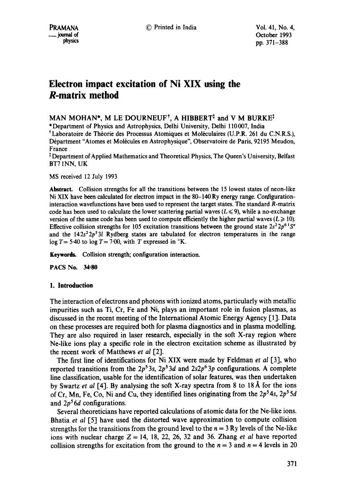pound of Coroller 1993<br>physics methods of the physics method of the physics methods of the state of the physics methods of the state of the state of the state of the state of the state of the state of the state of the stat pp. 371-388

# **Electron impact excitation of Ni XIX using the R-matrix method**

MAN MOHAN\*, M LE DOURNEUF<sup>†</sup>, A HIBBERT<sup>†</sup> and V M BURKE<sup>†</sup>

\*Department of Physics and Astrophysics, Delhi University, Delhi 110007, India

<sup>†</sup> Laboratoire de Théorie des Processus Atomiques et Moléculaires (U.P.R. 261 du C.N.R.S.), Départment "Atomes et Molécules en Astrophysique", Observatoire de Paris, 92195 Meudon, France

Department of Applied Mathematics and Theoretical Physics, The Queen's University, Belfast BT7 INN, UK

MS received 12 July 1993

**Abstract.** Collision strengths for all the transitions between the 15 lowest states of neon-like Ni XIX have been calculated for electron impact in the 80-140 Ry energy range. Configurationinteraction wavefunctions have been used to represent the target states. The standard R-matrix code has been used to calculate the lower scattering partial waves ( $L \le 9$ ), while a no-exchange version of the same code has been used to compute efficiently the higher partial waves  $(L \ge 10)$ . Effective collision strengths for 105 excitation transitions between the ground state  $2s^2 2p^{6} 1S^e$ and the  $142s^22p^53l$  Rydberg states are tabulated for electron temperatures in the range  $\log T = 5.40$  to  $\log T = 7.00$ , with T expressed in °K.

**Keywords.** Collision strength; configuration interaction.

**PACS No. 34.80** 

# **1. Introduction**

The interaction of electrons and photons with ionized atoms, particularly with metallic impurities such as Ti, Cr, Fe and Ni, plays an important role in fusion plasmas, as discussed in the recent meeting of the International Atomic Energy Agency [1 ]. Data on these processes are required both for plasma diagnostics and in plasma modelling. They are also required in laser research, especially in the soft X-ray region where Ne-like ions play a specific role in the electron excitation scheme as illustrated by the recent work of Matthews *et al* [2].

The first line of identifications for Ni XIX were made by Feldman *et al* [3], who reported transitions from the  $2p^53s$ ,  $2p^53d$  and  $2s2p^63p$  configurations. A complete line classification, usable for the identification of solar features, was then undertaken by Swartz *et al* [4]. By analysing the soft X-ray spectra from 8 to 18 Å for the ions of Cr, Mn, Fe, Co, Ni and Cu, they identified lines originating from the 2p<sup>5</sup>4s, 2p<sup>5</sup>5d and  $2p<sup>5</sup>6d$  configurations.

Several theoreticians have reported calculations of atomic data for the Ne-like ions. Bhatia *et al* [5] have used the distorted wave approximation to compute collision strengths for the transitions from the ground level to the  $n = 3$  Ry levels of the Ne-like ions with nuclear charge  $Z = 14$ , 18, 22, 26, 32 and 36. Zhang *et al* have reported collision strengths for excitation from the ground to the  $n = 3$  and  $n = 4$  levels in 20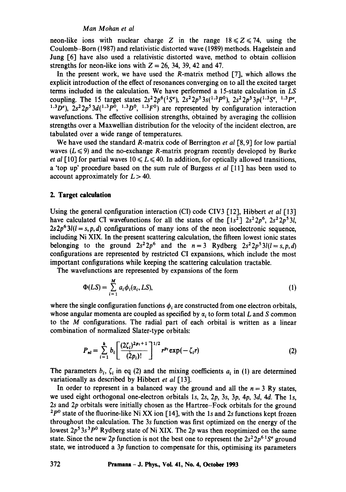# *Man Mohan et al*

neon-like ions with nuclear charge Z in the range  $18 \le Z \le 74$ , using the Coulomb-Born (1987) and relativistic distorted wave (1989) methods. Hagelstein and Jung [6] have also used a relativistic distorted wave, method to obtain collision strengths for neon-like ions with  $Z = 26$ , 34, 39, 42 and 47.

In the present work, we have used the R-matrix method  $[7]$ , which allows the explicit introduction of the effect of resonances converging on to all the excited target terms included in the calculation. We have performed a 15-state calculation in *LS*  coupling. The 15 target states  $2s^22p^6(^1S^e)$ ,  $2s^22p^53s(^{1,3}P^0)$ ,  $2s^22p^53p(^{1,3}S^e)$ ,  $1,3P^e$ , <sup>1,3</sup>D<sup>e</sup>),  $2s^22p^53d(^{1,3}P^0, 1,3P^0, 1,3P^0)$  are represented by configuration interaction wavefunctions. The effective collision strengths, obtained by averaging the collision strengths over a Maxwellian distribution for the velocity of the incident electron, are tabulated over a wide range of temperatures.

We have used the standard R-matrix code of Berrington *et al* [8,9] for low partial waves  $(L \le 9)$  and the no-exchange R-matrix program recently developed by Burke *et al* [10] for partial waves  $10 \le L \le 40$ . In addition, for optically allowed transitions, a 'top up' procedure based on the sum rule of Burgess *et al* [11] has been used to account approximately for  $L > 40$ .

# **2. Target calculation**

Using the general configuration interaction (CI) code CIV3 [12], Hibbert *et al* [13] have calculated CI wavefunctions for all the states of the  $[1s^2]$   $2s^22p^6$ ,  $2s^22p^53l$ ,  $2s2p^{6}3l(l=s,p,d)$  configurations of many ions of the neon isoelectronic sequence, including Ni XIX. In the present scattering calculation, the fifteen lowest ionic states belonging to the ground  $2s^2 2p^6$  and the  $n=3$  Rydberg  $2s^2 2p^5 3l(l=s,p,d)$ configurations are represented by restricted CI expansions, which include the most important configurations while keeping the scattering calculation tractable.

The wavefunctions are represented by expansions of the form

$$
\Phi(LS) = \sum_{i=1}^{M} a_i \phi_i(\alpha_i, LS), \qquad (1)
$$

where the single configuration functions  $\phi_i$  are constructed from one electron orbitals, whose angular momenta are coupled as specified by  $\alpha_i$  to form total L and S common to the M configurations. The radial part of each orbital is written as a linear combination of normalized Slater-type orbitals:

$$
P_{nl} = \sum_{i=1}^{k} b_i \left[ \frac{(2\zeta_i)^{2p_i+1}}{(2p_i)!} \right]^{1/2} r^{p_i} \exp(-\zeta_i r) \tag{2}
$$

The parameters  $b_i$ ,  $\zeta_i$  in eq (2) and the mixing coefficients  $a_i$  in (1) are determined variationally as described by Hibbert *et al* [13].

In order to represent in a balanced way the ground and all the  $n = 3$  Ry states, we used eight orthogonal one-electron orbitals 1s, 2s, 2p, 3s, 3p, 4p, 3d, 4d. The 1s, 2s and 2p orbitals were initially chosen as the Hartree-Fock orbitals for the ground  $^{2}P^{0}$  state of the fluorine-like Ni XX ion [14], with the 1s and 2s functions kept frozen throughout the calculation. The 3s function was first optimized on the energy of the lowest  $2p^53s^3p^0$  Rydberg state of Ni XIX. The 2p was then reoptimized on the same state. Since the new 2p function is not the best one to represent the  $2s^22p^{6}$   $S^e$  ground state, we introduced a 3p function to compensate for this, optimising its parameters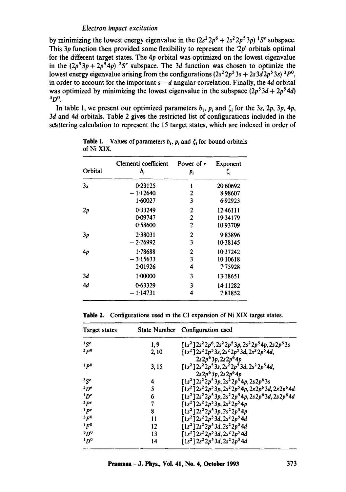by minimizing the lowest energy eigenvalue in the  $(2s^22p^6 + 2s^22p^53p)^{-1}S^e$  subspace. This  $3p$  function then provided some flexibility to represent the ' $2p$ ' orbitals optimal for the different target states. The  $4p$  orbital was optimized on the lowest eigenvalue in the  $(2p^53p+2p^54p)^3S^e$  subspace. The 3d function was chosen to optimize the lowest energy eigenvalue arising from the configurations  $(2s^2 2p^5 3s + 2s 3d2p^5 3s)^3 P^0$ , in order to account for the important  $s - d$  angular correlation. Finally, the 4d orbital was optimized by minimizing the lowest eigenvalue in the subspace  $(2p<sup>5</sup>3d + 2p<sup>5</sup>4d)$  $^3D^0$ .

In table 1, we present our optimized parameters  $b_i$ ,  $p_i$  and  $\zeta_i$  for the 3s, 2p, 3p, 4p, 3d and 4d orbitals. Table 2 gives the restricted list of configurations included in the scattering calculation to represent the 15 target states, which are indexed in order of

| Orbital | Clementi coefficient | Power of r     | Exponent  |
|---------|----------------------|----------------|-----------|
|         | $b_i$                | $p_i$          | $\zeta_i$ |
| 3s      | 0.23125              | 1              | 20.60692  |
|         | $-1.12640$           | 2              | 8.98607   |
|         | 1.60027              | 3              | 6.92923   |
| 2p      | 0.33249              | $\mathbf 2$    | 12:46111  |
|         | 0.09747              | $\overline{2}$ | 19.34179  |
|         | 0.58600              | $\overline{2}$ | 10.93709  |
| 3p      | 2.38031              | 2              | 9.83896   |
|         | $-2.76992$           | 3              | 10.38145  |
| 4p      | 1.78688              | 2              | 10.37242  |
|         | $-3.15633$           | 3              | 10.10618  |
|         | 2.01926              | 4              | 7.75928   |
| 3d      | 1.00000              | 3              | 13.18651  |
| 4d      | 0.63329              | 3              | 14.11282  |
|         | $-1.14731$           | 4              | 781852    |

**Table 1.** Values of parameters  $b_i$ ,  $p_i$  and  $\zeta_i$  for bound orbitals of Ni XIX.

**Table 2.** Configurations used in the CI expansion of Ni XIX target **states.** 

| Target states   |      | State Number Configuration used                                   |
|-----------------|------|-------------------------------------------------------------------|
| $1S^e$          | 1,9  | $[1s2]2s22p6, 2s22p53p, 2s22p54p, 2s2p63s$                        |
| 3p0             | 2.10 | $[1s2] 2s2 2p5 3s, 2s2 2p5 3d, 2s2 2p5 4d,$<br>$2s2p63p, 2s2p64p$ |
| 1p0             | 3.15 | $[1s^2]2s^22p^53s, 2s^22p^53d, 2s^22p^54d,$<br>$2s2p63p, 2s2p64p$ |
| 35e             | 4    | $[1s2]2s22p53p, 2s22p54p, 2s2p63s$                                |
| 3D <sup>e</sup> | 5    | $[1s2]2s22p53p, 2s22p54p, 2s2p63d, 2s2p64d$                       |
| 1p <sup>e</sup> | 6    | $[1s2]2s22p53p, 2s22p54p, 2s2p63d, 2s2p64d$                       |
| 3 pe            | 7    | $[1s^2]$ $2s^2$ $2p^5$ $3p$ , $2s^2$ $2p^5$ $4p$                  |
| 1 pe            | 8    | $[1s^2]2s^22p^53p, 2s^22p^54p$                                    |
| ${}^3F^0$       | 11   | $[1s^2]$ $2s^2 2p^5 3d$ , $2s^2 2p^5 4d$                          |
| 1F <sup>0</sup> | 12   | $[1s^2]$ $2s^2$ $2p^5$ $3d$ , $2s^2$ $2p^5$ $4d$                  |
| 3D <sup>0</sup> | 13   | $[1s2] 2s2 2p5 3d, 2s2 2p5 4d$                                    |
| 1p <sup>0</sup> | 14   | $[1s^2]$ $2s^2$ $2p^5$ $3d$ , $2s^2$ $2p^5$ $4d$                  |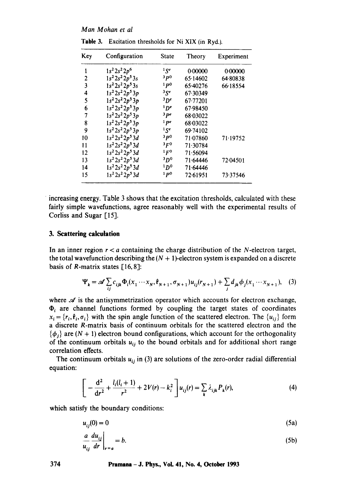Man Mohan et al

| Key | Configuration       | State                       | Theory   | Experiment |
|-----|---------------------|-----------------------------|----------|------------|
|     | $1s^2 2s^2 2p^6$    | $1$ $S_e$                   | 0.00000  | 0.00000    |
| 2   | $1s^2 2s^2 2p^5 3s$ | 3p0                         | 65.14602 | 64.80838   |
| 3   | $1s^22s^22p^53s$    | 1p0                         | 65.40276 | 66.18554   |
| 4   | $1s^2 2s^2 2p^5 3p$ | ${}^{3}S^{e}$               | 67.30349 |            |
| 5   | $1s^2 2s^2 2p^5 3p$ | $3p$ <sup>e</sup>           | 67.77201 |            |
| 6   | $1s^2 2s^2 2p^5 3p$ | $1D^e$                      | 67.98450 |            |
| 7   | $1s^2 2s^2 2p^5 3p$ | 3 pe                        | 68.03022 |            |
| 8   | $1s^2 2s^2 2p^5 3p$ | l pe                        | 68.03022 |            |
| 9   | $1s^2 2s^2 2p^5 3p$ | 15e                         | 69.74102 |            |
| 10  | $1s^2 2s^2 2p^5 3d$ | 3p0                         | 71.07860 | 71.19752   |
| 11  | $1s^2 2s^2 2p^5 3d$ | 3F <sub>0</sub>             | 71.30784 |            |
| 12  | $1s^2 2s^2 2p^5 3d$ | 1F <sub>0</sub>             | 71.56094 |            |
| 13  | $1s^2 2s^2 2p^5 3d$ | <sup>3</sup> D <sup>o</sup> | 71.64446 | 72.04501   |
| 14  | $1s^2 2s^2 2p^5 3d$ | 1D <sup>0</sup>             | 71.64446 |            |
| 15  | $1s^2 2s^2 2p^5 3d$ | 1p0                         | 72.61951 | 73.37546   |

Table 3. Excitation thresholds for Ni XIX (in Ryd.).

increasing energy. Table 3 shows that the excitation thresholds, calculated with these fairly simple wavefunctions, agree reasonably well with the experimental results of Corliss and Sugar [15].

# 3. Scattering calculation

In an inner region  $r < a$  containing the charge distribution of the N-electron target, the total wavefunction describing the  $(N + 1)$ -electron system is expanded on a discrete basis of  $R$ -matrix states [16,8]:

$$
\Psi_{k} = \mathscr{A} \sum_{ij} c_{ijk} \Phi_{i}(x_{1} \cdots x_{N}, \hat{\mathbf{r}}_{N+1}, \sigma_{N+1}) u_{ij}(r_{N+1}) + \sum_{j} d_{jk} \phi_{j}(x_{1} \cdots x_{N+1}), \quad (3)
$$

where  $\mathcal A$  is the antisymmetrization operator which accounts for electron exchange,  $\Phi_i$  are channel functions formed by coupling the target states of coordinates  $x_i = \{r_i, \hat{\mathbf{r}}_i, \sigma_i\}$  with the spin angle function of the scattered electron. The  $\{u_{ij}\}$  form a discrete R-matrix basis of continuum orbitals for the scattered electron and the  $\{\phi_i\}$  are  $(N + 1)$  electron bound configurations, which account for the orthogonality of the continuum orbitals  $u_{ij}$  to the bound orbitals and for additional short range correlation effects.

The continuum orbitals  $u_{ij}$  in (3) are solutions of the zero-order radial differential equation:

$$
\[ -\frac{d^2}{dr^2} + \frac{l_i(l_i+1)}{r^2} + 2V(r) - k_i^2 \] u_{ij}(r) = \sum_k \lambda_{ijk} P_k(r), \tag{4}
$$

which satisfy the boundary conditions:

$$
u_{ij}(0) = 0 \tag{5a}
$$

$$
\left. \frac{a}{u_{ij}} \frac{du_{ij}}{dr} \right|_{r=a} = b. \tag{5b}
$$

Pramana - J. Phys., Vol. 41, No. 4, October 1993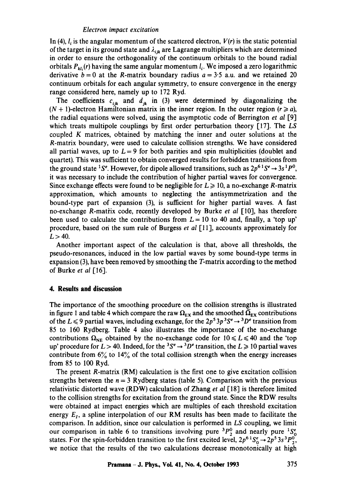In (4),  $l_i$  is the angular momentum of the scattered electron,  $V(r)$  is the static potential of the target in its ground state and  $\lambda_{ijk}$  are Lagrange multipliers which are determined in order to ensure the orthogonality of the continuum orbitals to the bound radial orbitals  $P_{kl_i}(r)$  having the same angular momentum  $l_i$ . We imposed a zero logarithmic derivative  $b = 0$  at the R-matrix boundary radius  $a = 3.5$  a.u. and we retained 20 continuum orbitals for each angular symmetry, to ensure convergence in the energy range considered here, namely up to 172 Ryd.

The coefficients  $c_{ijk}$  and  $d_{jk}$  in (3) were determined by diagonalizing the  $(N + 1)$ -electron Hamiltonian matrix in the inner region. In the outer region  $(r \ge a)$ , the radial equations were solved, using the asymptotic code of Berrington *et al* [9] which treats multipole couplings by first order perturbation theory [17]. The *LS*  coupled K matrices, obtained by matching the inner and outer solutions at the R-matrix boundary, were used to calculate collision strengths. We have considered all partial waves, up to  $L = 9$  for both parities and spin multiplicities (doublet and quartet). This was sufficient to obtain converged results for forbidden transitions from the ground state <sup>1</sup>S<sup>e</sup>. However, for dipole allowed transitions, such as  $2p^{6}$ <sup>1</sup>S<sup>e</sup>  $\rightarrow$  3s<sup>1</sup>P<sup>0</sup>, it was necessary to include the contribution of higher partial waves for convergence. Since exchange effects were found to be negligible for  $L \ge 10$ , a no-exchange R-matrix approximation, which amounts to neglecting the antisymmetrization and the bound-type part of expansion (3), is sufficient for higher partial waves. A fast no-exchange R-mati'ix code, recently developed by Burke *et al* [10], has therefore been used to calculate the contributions from  $L = 10$  to 40 and, finally, a 'top up' procedure, based ori the sum rule of Burgess *et al* [11], accounts approximately for  $L > 40$ .

Another important aspect of the calculation is that, above all thresholds, the pseudo-resonances, induced in the low partial waves by some bound-type terms in expansion (3), have been removed by smoothing the T-matrix according to the method of Burke *et al* [16].

# **4. Results and discussion**

The importance of the smoothing procedure on the collision strengths is illustrated in figure 1 and table 4 which compare the raw  $\Omega_{EX}$  and the smoothed  $\overline{\Omega}_{EX}$  contributions of the  $L \leq 9$  partial waves, including exchange, for the  $2p^5 3p^3 S^e \rightarrow 3D^e$  transition from 85 to 160 Rydberg. Table 4 also illustrates the importance of the no-exchange contributions  $\Omega_{\text{NE}}$  obtained by the no-exchange code for  $10 \le L \le 40$  and the 'top up' procedure for  $L > 40$ . Indeed, for the <sup>3</sup>S<sup>e</sup>  $\rightarrow$  <sup>3</sup>D<sup>e</sup> transition, the  $L \ge 10$  partial waves contribute from  $6\%$  to  $14\%$  of the total collision strength when the energy increases from 85 to 100 Ryd.

The present R-matrix (RM) calculation is the first one to give excitation collision strengths between the  $n = 3$  Rydberg states (table 5). Comparison with the previous relativistic distorted wave (RDW) calculation of Zhang *et al* [18] is therefore limited to the collision strengths for excitation from the ground state. Since the RDW results were obtained at impact energies which are multiples of each threshold excitation energy  $E_I$ , a spline interpolation of our RM results has been made to facilitate the comparison. In addition, since our calculation is performed in *LS* coupling, we limit our comparison in table 6 to transitions involving pure  ${}^{3}P_{2}^{0}$  and nearly pure  ${}^{1}S_{0}^{e}$ states. For the spin-forbidden transition to the first excited level,  $2p^{6}S_{0}^{e} \rightarrow 2p^{5}3s^{3}P_{2}^{0}$ , we notice that the results of the two calculations decrease monotonically at high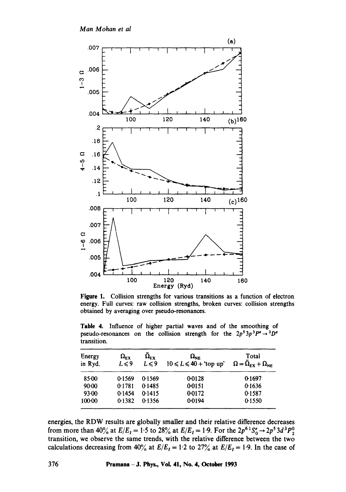*Man Mohan et al* 



**Figure** I. Collision strengths for various transitions as a function of electron energy. Full curves: raw collision strengths, broken curves: collision strengths obtained by averaging over pseudo-resonances.

Table 4. Influence of higher partial waves and of the smoothing of pseudo-resonances on the collision strength for the  $2p^53p^3P^e \rightarrow 3D^e$ transition.

| Energy<br>in Ryd. | $\Omega_{\rm EX}$<br>$L \leq 9$ | $\Omega_{\rm EX}$<br>$L \leq 9$ | $\Omega_{\rm NE}$<br>$10 \le L \le 40 +$ 'top up' | Total<br>$\Omega = \overline{\Omega}_{EX} + \Omega_{NE}$ |
|-------------------|---------------------------------|---------------------------------|---------------------------------------------------|----------------------------------------------------------|
| 85:00             | 0.1569                          | 0.1569                          | 0.0128                                            | 0.1697                                                   |
| $90-00$           | 0.1781                          | 0.1485                          | 0.0151                                            | 0.1636                                                   |
| 93.00             | 0.1454                          | 0.1415                          | 0.0172                                            | 0.1587                                                   |
| 100-00            | 0.1382                          | 0.1356                          | 0.0194                                            | 0.1550                                                   |

energies, the RDW results are globally smaller and their relative difterence decreases from more than 40% at  $E/E_1 = 1.5$  to 28% at  $E/E_1 = 1.9$ . For the  $2p^{6} S_0^e \rightarrow 2p^5 3d^3 P_2^0$ transition, we observe the same trends, with the relative difference between the two calculations decreasing from 40% at  $E/E_I = 1.2$  to 27% at  $E/E_I = 1.9$ . In the case of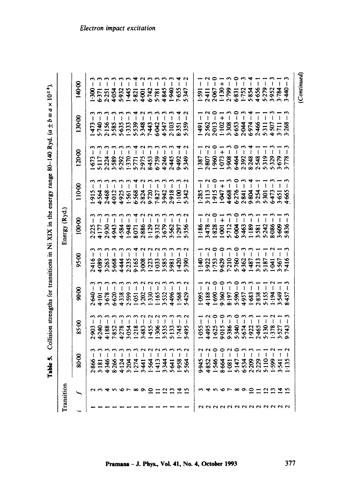**Table 5.** Collision strengths for transitions in Ni XIX in the energy range 80-140 Ryd.  $(a \pm b \equiv a \times 10^{\pm}$ b.

|              | 140-00 | $1.300 - 3$ $1.311 - 3$ $2.313 - 3$ $2.334 - 3$ $2.343 - 2$ $2.354 - 2$ $2.354 - 2$ $2.354 - 2$ $2.354 - 2$ $2.354 - 2$ $2.354 - 2$ $2.354 - 2$ $2.354 - 2$ $2.354 - 2$ $2.354 - 2$ $2.354 - 2$ $2.354 - 2$ $2.354 - 2$ $2.354 - 2$ $2.354 - 2$                                                        |  |  |  |  |  |                     |                                                                                                                                                                                    |  |         |             |               |           |                |                |  | $1.591 - 3$<br>$2.470 - 7$<br>$2.470 - 7$<br>$2.470 - 7$<br>$2.470 - 7$<br>$2.470 - 7$<br>$2.470 - 7$<br>$2.470 - 7$<br>$2.470 - 7$<br>$2.470 - 7$<br>$2.470 - 7$<br>$2.470 - 7$<br>$2.490 - 7$<br>$2.490 - 7$                                                                                         |  |
|--------------|--------|--------------------------------------------------------------------------------------------------------------------------------------------------------------------------------------------------------------------------------------------------------------------------------------------------------|--|--|--|--|--|---------------------|------------------------------------------------------------------------------------------------------------------------------------------------------------------------------------|--|---------|-------------|---------------|-----------|----------------|----------------|--|--------------------------------------------------------------------------------------------------------------------------------------------------------------------------------------------------------------------------------------------------------------------------------------------------------|--|
|              | 130-00 | $1473 - 1774$ $-1740 - 1774$ $-1740 - 1774$ $-1740 - 1774$ $-1740 - 1774$ $-1740 - 1774$ $-1740 - 1774$ $-1740 - 1774$ $-1740 - 1774$ $-1740 - 1774$ $-1740 - 1774$ $-1740 - 1774$ $-1740 - 1774$                                                                                                      |  |  |  |  |  |                     |                                                                                                                                                                                    |  |         |             |               |           |                |                |  | $1.491 - 1\n2.562 - 2\n2.6013 + 5\n2.6013 + 5\n3.6033 + 7\n4.6044 - 1\n4.6044 - 1\n4.6044 - 1\n4.6044 - 1\n4.6044 - 1\n4.6044 - 1\n4.6044 - 1\n4.6044 - 1$                                                                                                                                             |  |
|              | 120-00 |                                                                                                                                                                                                                                                                                                        |  |  |  |  |  |                     |                                                                                                                                                                                    |  |         |             |               |           |                |                |  |                                                                                                                                                                                                                                                                                                        |  |
|              | 110-00 | $\begin{array}{l} 1.915 - 3 \\ 1.945 - 3 \\ 4.564 - 3 \\ 2.466 - 1 \\ 2.466 - 1 \\ 2.466 - 1 \\ 2.466 - 1 \\ 2.466 - 1 \\ 2.466 - 1 \\ 2.466 - 1 \\ 2.466 - 1 \\ 2.466 - 1 \\ 2.466 - 1 \\ 2.466 - 1 \\ 2.466 - 1 \\ 2.466 - 1 \\ 2.466 - 1 \\ 2.466 - 1 \\ 2.466 - 1 \\ 2.466 - 1 \\ 2.466 - 1 \\ 2.$ |  |  |  |  |  |                     |                                                                                                                                                                                    |  |         |             |               |           |                |                |  | $\begin{array}{l} 1.285 - 1 \\ 1.113 - 0 \\ 1.113 - 0 \\ 1.915 - 1 \\ 1.915 - 0 \\ 1.915 - 0 \\ 1.915 - 0 \\ 1.915 - 0 \\ 1.915 - 0 \\ 1.915 - 0 \\ 1.915 - 0 \\ 1.915 - 0 \\ 1.915 - 0 \\ 1.915 - 0 \\ 1.915 - 0 \\ 1.915 - 0 \\ 1.915 - 0 \\ 1.915 - 0 \\ 1.915 - 0 \\ 1.915 - 0 \\ 1.915 - 0 \\ 1.$ |  |
| Energy (Ryd. | 100-00 | $225 - 3$ $23 - 3$ $23 - 3$ $23 - 3$ $24 - 3$ $25 - 3$ $26 - 3$ $27 - 3$ $27 - 3$ $28 - 3$ $29 - 3$ $29 - 3$ $29 - 3$ $29 - 3$ $29 - 3$ $29 - 3$ $29 - 3$ $20 - 3$ $20 - 3$ $20 - 3$ $20 - 3$ $20 - 3$ $20 - 3$ $20 - 3$ $20 - 3$ $20 - 3$ $20 - 3$ $20 -$                                             |  |  |  |  |  |                     |                                                                                                                                                                                    |  |         |             |               |           |                |                |  | $1.186 - 1.7$ $-1.78 - 1.7$ $-1.78 - 1.7$ $-1.78 - 1.7$ $-1.78 - 1.7$ $-1.78 - 1.7$ $-1.78 - 1.7$ $-1.78 - 1.7$ $-1.78 - 1.7$ $-1.78 - 1.7$ $-1.78 - 1.7$ $-1.78 - 1.7$ $-1.78 - 1.7$ $-1.78 - 1.7$ $-1.78 - 1.7$ $-1.78 - 1.7$ $-1.78 - 1.7$                                                          |  |
|              | 95.00  | $7416 - 3$ $7416 - 3$ $7416 - 3$ $7416 - 1$ $7416 - 1$ $7416 - 1$ $7416 - 1$ $7416 - 1$ $7416 - 1$ $7416 - 1$ $7416 - 1$ $7416 - 1$ $7416 - 1$ $7416 - 1$ $7416 - 1$ $7416 - 1$ $7416 - 1$ $7416 - 1$ $7416 - 1$ $7416 - 1$ $7416 - 1$ $7416 - 1$                                                      |  |  |  |  |  |                     |                                                                                                                                                                                    |  | $-1111$ |             |               | $\degree$ | $\mathfrak{g}$ |                |  |                                                                                                                                                                                                                                                                                                        |  |
|              | 90-00  |                                                                                                                                                                                                                                                                                                        |  |  |  |  |  |                     | $2640 - 3$<br>$4 + 101 - 3$<br>$4 + 6830 - 3$<br>$4 + 35830 - 3$<br>$2 + 3580 - 32$<br>$2 + 3580 - 32$<br>$2 + 3580 - 32$<br>$2 + 3580 - 32$<br>$2 + 3580 - 32$<br>$2 + 3580 - 32$ |  |         |             |               |           |                |                |  | $\begin{array}{l} 1.045 - 7 - 1.045 - 1.045 - 1.045 - 1.045 - 1.045 - 1.045 - 1.045 - 1.045 - 1.045 - 1.045 - 1.045 - 1.045 - 1.045 - 1.045 - 1.045 - 1.045 - 1.045 - 1.045 - 1.045 - 1.045 - 1.045 - 1.045 - 1.045 - 1.045 - 1.045 - 1.045 - 1.045 - 1.045 - 1.045 -$                                 |  |
|              | 85-00  |                                                                                                                                                                                                                                                                                                        |  |  |  |  |  |                     |                                                                                                                                                                                    |  |         |             |               |           |                |                |  | $\begin{array}{l} 1\  \  \, -\  \  \, -\  \  \, -\  \  \, -\  \  \, -\  \  \, -\  \  \, 0\  \  \, 0\  \  \, 0\  \  \, 0\  \  \, 0\  \  \, 0\  \  \, 0\  \  \, 0\  \  \, 0\  \  \, 0\  \  \, 0\  \  \, 0\  \  \, 0\  \  \, 0\  \  \, 0\  \  \, 0\  \  \, 0\  \  \, 0\  \  \, 0\  \  \, 0\  \  \, 0\$    |  |
|              | 80-00  |                                                                                                                                                                                                                                                                                                        |  |  |  |  |  |                     |                                                                                                                                                                                    |  |         | $\tilde{ }$ | $\frac{2}{1}$ | ို        | ျ              | $\overline{1}$ |  |                                                                                                                                                                                                                                                                                                        |  |
| Transition   |        |                                                                                                                                                                                                                                                                                                        |  |  |  |  |  | <b>456789012045</b> |                                                                                                                                                                                    |  |         |             |               |           |                |                |  | vrwogggggag                                                                                                                                                                                                                                                                                            |  |

# Electron impact excitation

 $(Continued)$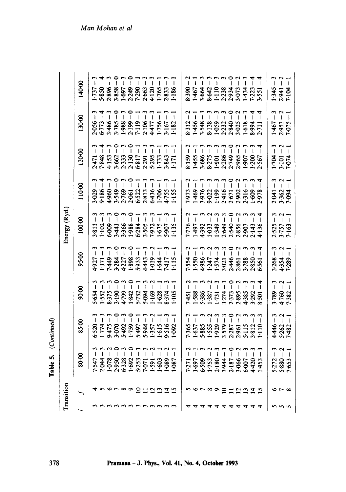Table 5. *(Continued)*  5. (Continued)

| Transition |                      |                                                                                                                                                                                                                                                               |                                                                 |                                                                                                                                                                                                                                                                                                                                                                                  |                                           | Energy (Ryd.                                                                                                                                                         |                                                                 |                                                                                                                                                                                                                                                                    |                                                                                                                                                     |                                                                                                                                                                   |
|------------|----------------------|---------------------------------------------------------------------------------------------------------------------------------------------------------------------------------------------------------------------------------------------------------------|-----------------------------------------------------------------|----------------------------------------------------------------------------------------------------------------------------------------------------------------------------------------------------------------------------------------------------------------------------------------------------------------------------------------------------------------------------------|-------------------------------------------|----------------------------------------------------------------------------------------------------------------------------------------------------------------------|-----------------------------------------------------------------|--------------------------------------------------------------------------------------------------------------------------------------------------------------------------------------------------------------------------------------------------------------------|-----------------------------------------------------------------------------------------------------------------------------------------------------|-------------------------------------------------------------------------------------------------------------------------------------------------------------------|
|            |                      | 80.00                                                                                                                                                                                                                                                         | 85:00                                                           | 90.00                                                                                                                                                                                                                                                                                                                                                                            | 95.00                                     | 100.00                                                                                                                                                               | 110.00                                                          | 120.00                                                                                                                                                                                                                                                             | 130-00                                                                                                                                              | 140.00                                                                                                                                                            |
|            |                      |                                                                                                                                                                                                                                                               |                                                                 |                                                                                                                                                                                                                                                                                                                                                                                  |                                           |                                                                                                                                                                      |                                                                 |                                                                                                                                                                                                                                                                    | $2056 - 1$ $-100000 - 1$ $-1000000 - 1$ $-10000000 - 1$ $-100000000 - 1$ $-1000000000 - 1$ $-100000000000 - 1$ $-10000000000000$ $-100000000000000$ | $1.737 - 3$<br>$5.850 - 3$<br>$5.850 - 3$<br>$3.850 - 3$<br>$3.850 - 3$<br>$3.850 - 3$<br>$3.450 - 3$<br>$3.450 - 3$<br>$3.450 - 3$<br>$3.450 - 3$<br>$3.450 - 3$ |
|            |                      |                                                                                                                                                                                                                                                               |                                                                 |                                                                                                                                                                                                                                                                                                                                                                                  |                                           |                                                                                                                                                                      |                                                                 |                                                                                                                                                                                                                                                                    |                                                                                                                                                     |                                                                                                                                                                   |
|            |                      |                                                                                                                                                                                                                                                               | ှ                                                               |                                                                                                                                                                                                                                                                                                                                                                                  | 111                                       |                                                                                                                                                                      |                                                                 |                                                                                                                                                                                                                                                                    |                                                                                                                                                     |                                                                                                                                                                   |
|            |                      |                                                                                                                                                                                                                                                               | ှ                                                               | ĭ                                                                                                                                                                                                                                                                                                                                                                                |                                           | $\degree$                                                                                                                                                            |                                                                 | $\overline{\phantom{0}}$                                                                                                                                                                                                                                           |                                                                                                                                                     |                                                                                                                                                                   |
|            | <b>Groodmand</b>     | $7.547 - 3$<br>$2.044 - 2$<br>$2.078 - 0$<br>$2.950 - 0$<br>$2.950 - 0$<br>$2.950 - 0$<br>$2.950 - 1$<br>$2.950 - 1$<br>$2.950 - 1$<br>$2.950 - 1$<br>$2.950 - 1$<br>$2.950 - 1$<br>$2.950 - 1$<br>$2.950 - 1$                                                | ှ                                                               |                                                                                                                                                                                                                                                                                                                                                                                  | $\mathfrak{g}$                            |                                                                                                                                                                      | 3.029<br>9.1869<br>9.549.0512.2013<br>9.522.2013<br>9.1753.2013 | $2471 - 7478 - 7478 - 7478 - 7478 - 7478 - 7478 - 7478 - 7478 - 7478 - 7478 - 7478 - 7478 - 7478 - 7478 - 7478 - 7478 - 7478 - 7478 - 7478 - 7478 - 7478 - 7478 - 7478 - 7478 - 7478 - 7478 - 7478 - 7478 - 7478 - 7478 - 7478 - 7478 - 7478 - 7478 - 7478 - 7478$ |                                                                                                                                                     |                                                                                                                                                                   |
|            |                      |                                                                                                                                                                                                                                                               | $\breve{\mathsf{I}}$                                            | ī                                                                                                                                                                                                                                                                                                                                                                                | $\tilde{ }$                               | ု                                                                                                                                                                    |                                                                 |                                                                                                                                                                                                                                                                    |                                                                                                                                                     |                                                                                                                                                                   |
|            |                      |                                                                                                                                                                                                                                                               | Ï                                                               | $\overline{1}$                                                                                                                                                                                                                                                                                                                                                                   | $\frac{1}{\sqrt{2}}$                      |                                                                                                                                                                      |                                                                 |                                                                                                                                                                                                                                                                    |                                                                                                                                                     |                                                                                                                                                                   |
|            |                      |                                                                                                                                                                                                                                                               | Ĭ                                                               |                                                                                                                                                                                                                                                                                                                                                                                  | $\overline{1}$                            |                                                                                                                                                                      |                                                                 |                                                                                                                                                                                                                                                                    |                                                                                                                                                     |                                                                                                                                                                   |
|            |                      |                                                                                                                                                                                                                                                               | $\frac{1}{2}$                                                   |                                                                                                                                                                                                                                                                                                                                                                                  | $\overline{\phantom{a}}$                  |                                                                                                                                                                      |                                                                 |                                                                                                                                                                                                                                                                    |                                                                                                                                                     |                                                                                                                                                                   |
|            |                      |                                                                                                                                                                                                                                                               | $\overline{\phantom{a}}$                                        |                                                                                                                                                                                                                                                                                                                                                                                  | $\pmb{\downarrow}$                        |                                                                                                                                                                      |                                                                 |                                                                                                                                                                                                                                                                    |                                                                                                                                                     |                                                                                                                                                                   |
|            |                      |                                                                                                                                                                                                                                                               |                                                                 |                                                                                                                                                                                                                                                                                                                                                                                  | $\overline{1}$                            |                                                                                                                                                                      |                                                                 |                                                                                                                                                                                                                                                                    |                                                                                                                                                     | 2833                                                                                                                                                              |
|            |                      |                                                                                                                                                                                                                                                               |                                                                 |                                                                                                                                                                                                                                                                                                                                                                                  |                                           | $3811 - 3$<br>$-102 - 3$<br>$-609 - 1$<br>$-609 - 1$<br>$-700 - 1$<br>$-700 - 1$<br>$-700 - 1$<br>$-700 - 1$<br>$-700 - 1$<br>$-700 - 1$<br>$-700 - 1$<br>$-700 - 1$ |                                                                 |                                                                                                                                                                                                                                                                    |                                                                                                                                                     |                                                                                                                                                                   |
|            |                      |                                                                                                                                                                                                                                                               |                                                                 |                                                                                                                                                                                                                                                                                                                                                                                  |                                           |                                                                                                                                                                      |                                                                 |                                                                                                                                                                                                                                                                    |                                                                                                                                                     |                                                                                                                                                                   |
|            |                      |                                                                                                                                                                                                                                                               |                                                                 |                                                                                                                                                                                                                                                                                                                                                                                  |                                           |                                                                                                                                                                      |                                                                 |                                                                                                                                                                                                                                                                    |                                                                                                                                                     |                                                                                                                                                                   |
|            |                      | $\frac{1}{2}$                                                                                                                                                                                                                                                 |                                                                 |                                                                                                                                                                                                                                                                                                                                                                                  |                                           |                                                                                                                                                                      |                                                                 | $\frac{1}{2}$                                                                                                                                                                                                                                                      |                                                                                                                                                     |                                                                                                                                                                   |
|            |                      |                                                                                                                                                                                                                                                               |                                                                 |                                                                                                                                                                                                                                                                                                                                                                                  |                                           |                                                                                                                                                                      |                                                                 | $\frac{1}{\epsilon}$                                                                                                                                                                                                                                               |                                                                                                                                                     |                                                                                                                                                                   |
|            |                      |                                                                                                                                                                                                                                                               | $\widetilde{\phantom{a}}$                                       |                                                                                                                                                                                                                                                                                                                                                                                  |                                           | $\frac{2}{1}$                                                                                                                                                        |                                                                 |                                                                                                                                                                                                                                                                    |                                                                                                                                                     |                                                                                                                                                                   |
|            | n or ∞ o g g g g g g | $7.271 - 7.271 - 7.371 - 7.371 - 7.371 - 7.392 - 7.393 - 7.393 - 7.394 - 7.394 - 7.394 - 7.394 - 7.394 - 7.394 - 7.394 - 7.394 - 7.394 - 7.394 - 7.394 - 7.394 - 7.394 - 7.394 - 7.394 - 7.394 - 7.394 - 7.394 - 7.394 - 7.394 - 7.394 - 7.394 - 7.394 - 7.3$ | ှ<br>7365<br>1-637<br>1-5385<br>1-9357887<br>2-8511382<br>1-110 | ှ<br>7451<br>1-388 587<br>1-387 774<br>1-377 7, 389 582<br>2-389 589 7, 389 501                                                                                                                                                                                                                                                                                                  |                                           | Ï<br>$7.776$<br>$1.973$<br>$1.933$<br>$1.939$<br>$1.939$<br>$2.89$<br>$2.89$<br>$2.89$<br>$2.43$<br>$2.43$<br>$2.43$                                                 |                                                                 | $3.159 - 7\n1.455 - 1\n1.456 - 3\n1.457 - 3\n1.458 - 7\n1.459 - 1\n1.459 - 1\n1.459 - 1\n1.459 - 1\n1.459 - 1\n1.459 - 1\n1.459 - 1\n1.459 - 1\n1.459 - 1\n1.459 - 1\n1.459 - 1\n1.459 - 1\n1.459 - 1\n1.459 - 1\n1.459 - 1\n$                                     | $3.312 - 1\n1.456 - 1\n1.456 - 1\n3.548 - 3\n8.138 - 1\n1.618 - 1\n1.618 - 1\n1.618 - 4\n1.618 - 4\n1.618 - 4\n2.711 - 4$                           |                                                                                                                                                                   |
|            |                      |                                                                                                                                                                                                                                                               | ှိ                                                              |                                                                                                                                                                                                                                                                                                                                                                                  |                                           | $\mathbf{r}$                                                                                                                                                         |                                                                 |                                                                                                                                                                                                                                                                    |                                                                                                                                                     |                                                                                                                                                                   |
|            |                      |                                                                                                                                                                                                                                                               | $\begin{array}{c} 0 \\ -2 \end{array}$                          | $\begin{array}{c} \rule{0pt}{2.5ex} \rule{0pt}{2.5ex} \rule{0pt}{2.5ex} \rule{0pt}{2.5ex} \rule{0pt}{2.5ex} \rule{0pt}{2.5ex} \rule{0pt}{2.5ex} \rule{0pt}{2.5ex} \rule{0pt}{2.5ex} \rule{0pt}{2.5ex} \rule{0pt}{2.5ex} \rule{0pt}{2.5ex} \rule{0pt}{2.5ex} \rule{0pt}{2.5ex} \rule{0pt}{2.5ex} \rule{0pt}{2.5ex} \rule{0pt}{2.5ex} \rule{0pt}{2.5ex} \rule{0pt}{2.5ex} \rule{0$ |                                           | $\bigcap$                                                                                                                                                            | I                                                               |                                                                                                                                                                                                                                                                    |                                                                                                                                                     |                                                                                                                                                                   |
|            |                      |                                                                                                                                                                                                                                                               |                                                                 | I                                                                                                                                                                                                                                                                                                                                                                                |                                           |                                                                                                                                                                      |                                                                 |                                                                                                                                                                                                                                                                    |                                                                                                                                                     |                                                                                                                                                                   |
|            |                      |                                                                                                                                                                                                                                                               |                                                                 |                                                                                                                                                                                                                                                                                                                                                                                  |                                           |                                                                                                                                                                      |                                                                 |                                                                                                                                                                                                                                                                    |                                                                                                                                                     |                                                                                                                                                                   |
|            |                      |                                                                                                                                                                                                                                                               |                                                                 |                                                                                                                                                                                                                                                                                                                                                                                  |                                           |                                                                                                                                                                      |                                                                 |                                                                                                                                                                                                                                                                    |                                                                                                                                                     |                                                                                                                                                                   |
|            |                      |                                                                                                                                                                                                                                                               |                                                                 |                                                                                                                                                                                                                                                                                                                                                                                  |                                           |                                                                                                                                                                      |                                                                 |                                                                                                                                                                                                                                                                    |                                                                                                                                                     |                                                                                                                                                                   |
|            |                      |                                                                                                                                                                                                                                                               |                                                                 |                                                                                                                                                                                                                                                                                                                                                                                  |                                           |                                                                                                                                                                      |                                                                 |                                                                                                                                                                                                                                                                    |                                                                                                                                                     |                                                                                                                                                                   |
|            |                      | $5.272 - 3$<br>$5.880 - 2$<br>$7.653 - 1$                                                                                                                                                                                                                     | $4.446 - 3$<br>$5.262 - 2$<br>$7.482 - 1$                       | $\mathbf{I}$<br>3.789<br>4.760 -<br>7.382                                                                                                                                                                                                                                                                                                                                        | $3.268 - 3$<br>$4.354 - 2$<br>$7.289 - 1$ | $2.525 - 3$<br>$3.757 - 2$<br>$7.163 - 1$                                                                                                                            | $2.041 - 3$<br>3.362 - 2<br>7.094 - 1                           | $1.704 - 3$<br>3 - 101 - 2<br>7 - 074 - 1                                                                                                                                                                                                                          | $1467 - 3$<br>$2.953 - 2$<br>$7.075 - 3$                                                                                                            | $-2$<br>$7-1345 - 3$<br>$7-136.2$<br>$7-136.2$                                                                                                                    |
|            |                      |                                                                                                                                                                                                                                                               |                                                                 |                                                                                                                                                                                                                                                                                                                                                                                  |                                           |                                                                                                                                                                      |                                                                 |                                                                                                                                                                                                                                                                    |                                                                                                                                                     |                                                                                                                                                                   |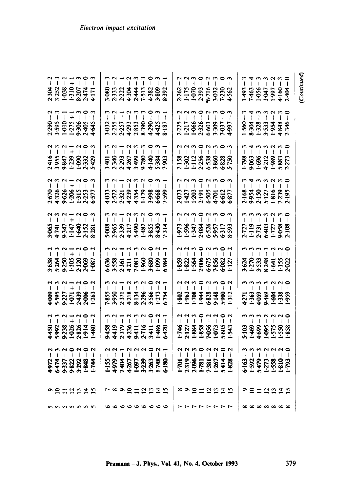| (Continued)                                                                                                                                                                                                                                                                                                                                                                                                                                                                                                                                                |                                                                                                                                                                                        |                                                                                                                                                                                             |                                                                                                                                                                                                                                                                                                                                                                                       |                                                                                                                                 |                                                                                                                                                    |                                                                                                                                                                                                                                                                                                                                                                       |                                                                                                                                                                                                                                                                                                                                                                                                                                                  |                                                                                                                                                    |                   |                                                         |
|------------------------------------------------------------------------------------------------------------------------------------------------------------------------------------------------------------------------------------------------------------------------------------------------------------------------------------------------------------------------------------------------------------------------------------------------------------------------------------------------------------------------------------------------------------|----------------------------------------------------------------------------------------------------------------------------------------------------------------------------------------|---------------------------------------------------------------------------------------------------------------------------------------------------------------------------------------------|---------------------------------------------------------------------------------------------------------------------------------------------------------------------------------------------------------------------------------------------------------------------------------------------------------------------------------------------------------------------------------------|---------------------------------------------------------------------------------------------------------------------------------|----------------------------------------------------------------------------------------------------------------------------------------------------|-----------------------------------------------------------------------------------------------------------------------------------------------------------------------------------------------------------------------------------------------------------------------------------------------------------------------------------------------------------------------|--------------------------------------------------------------------------------------------------------------------------------------------------------------------------------------------------------------------------------------------------------------------------------------------------------------------------------------------------------------------------------------------------------------------------------------------------|----------------------------------------------------------------------------------------------------------------------------------------------------|-------------------|---------------------------------------------------------|
|                                                                                                                                                                                                                                                                                                                                                                                                                                                                                                                                                            |                                                                                                                                                                                        |                                                                                                                                                                                             |                                                                                                                                                                                                                                                                                                                                                                                       |                                                                                                                                 |                                                                                                                                                    |                                                                                                                                                                                                                                                                                                                                                                       |                                                                                                                                                                                                                                                                                                                                                                                                                                                  |                                                                                                                                                    |                   |                                                         |
|                                                                                                                                                                                                                                                                                                                                                                                                                                                                                                                                                            |                                                                                                                                                                                        |                                                                                                                                                                                             |                                                                                                                                                                                                                                                                                                                                                                                       |                                                                                                                                 |                                                                                                                                                    |                                                                                                                                                                                                                                                                                                                                                                       |                                                                                                                                                                                                                                                                                                                                                                                                                                                  |                                                                                                                                                    |                   |                                                         |
| $\frac{1493}{7463}$<br>$\frac{166}{1951}$<br>$\frac{169}{1951}$<br>$\frac{169}{1951}$                                                                                                                                                                                                                                                                                                                                                                                                                                                                      | 11111<br>560 3833 38346                                                                                                                                                                | $1.798 - 3$<br>$9.063 - 4$<br>$9.063 - 3$<br>$1.996 - 3$<br>$1.989 - 2$<br>$1.9883 - 3$<br>$5.883 - 3$<br>$5.273 - 0$                                                                       | $\begin{array}{l} 2168 - 3 \\ 2954 - 4 \\ 9954 - 3 \\ 2150 - 3 \\ 2127 - 2 \\ 316 - 2 \\ 1816 - 3 \\ 195 - 0 \\ 2195 - 0 \\ 2195 - 0 \\ 2195 - 0 \\ 2195 - 0 \\ 2195 - 0 \\ 2195 - 0 \\ 2195 - 0 \\ 2195 - 0 \\ 2195 - 0 \\ 2195 - 0 \\ 2195 - 0 \\ 2195 - 0 \\ 2195 - 0 \\ 2195 - 0 \\ 2195 - 0 \\ 2195 - 0$                                                                         | $\begin{array}{c} 1 & 1 & 1 & 1 & 1 \\ 1 & 1 & 1 & 1 & 1 \\ \end{array}$<br>2727<br>119<br>1731<br>6403<br>1727<br>9018<br>2108 | $3.624 - 3$<br>$1.270 - 3$<br>$1.533 - 3$<br>$3.533 - 3$<br>$1.641 - 2$<br>$1.155 - 2$<br>$1.155 - 2$                                              | $\begin{array}{c} 0.00000000 \\ 0.00000000 \\ 0.000000 \\ 0.000000 \\ 0.000000 \\ 0.000000 \\ 0.000000 \\ 0.000000 \\ 0.000000 \\ 0.000000 \\ 0.000000 \\ 0.000000 \\ 0.000000 \\ 0.000000 \\ 0.000000 \\ 0.000000 \\ 0.000000 \\ 0.000000 \\ 0.000000 \\ 0.000000 \\ 0.000000$<br>4271<br>1:563<br>4:563<br>4:563<br>4:563                                           | $\begin{array}{c} 0.000000 \\ 0.000000 \\ 0.00000 \\ 0.00000 \\ 0.00000 \\ 0.00000 \\ 0.00000 \\ 0.00000 \\ 0.00000 \\ 0.00000 \\ 0.00000 \\ 0.00000 \\ 0.00000 \\ 0.00000 \\ 0.00000 \\ 0.00000 \\ 0.00000 \\ 0.00000 \\ 0.00000 \\ 0.00000 \\ 0.00000 \\ 0.00000 \\ 0.00000 \\ 0.0$<br>5103<br>1469<br>4482555<br>1550<br>1888                                                                                                                 | $6-163-3$<br>$-392-3$<br>$-392-3$<br>$-3479-2$<br>$-273-2$<br>$-273-2$<br>$-393-2$                                                                 | っかけにははち           |                                                         |
|                                                                                                                                                                                                                                                                                                                                                                                                                                                                                                                                                            |                                                                                                                                                                                        |                                                                                                                                                                                             |                                                                                                                                                                                                                                                                                                                                                                                       |                                                                                                                                 |                                                                                                                                                    |                                                                                                                                                                                                                                                                                                                                                                       |                                                                                                                                                                                                                                                                                                                                                                                                                                                  |                                                                                                                                                    |                   |                                                         |
|                                                                                                                                                                                                                                                                                                                                                                                                                                                                                                                                                            |                                                                                                                                                                                        |                                                                                                                                                                                             |                                                                                                                                                                                                                                                                                                                                                                                       |                                                                                                                                 |                                                                                                                                                    |                                                                                                                                                                                                                                                                                                                                                                       |                                                                                                                                                                                                                                                                                                                                                                                                                                                  |                                                                                                                                                    |                   |                                                         |
|                                                                                                                                                                                                                                                                                                                                                                                                                                                                                                                                                            |                                                                                                                                                                                        |                                                                                                                                                                                             |                                                                                                                                                                                                                                                                                                                                                                                       |                                                                                                                                 |                                                                                                                                                    |                                                                                                                                                                                                                                                                                                                                                                       |                                                                                                                                                                                                                                                                                                                                                                                                                                                  |                                                                                                                                                    |                   |                                                         |
|                                                                                                                                                                                                                                                                                                                                                                                                                                                                                                                                                            |                                                                                                                                                                                        |                                                                                                                                                                                             |                                                                                                                                                                                                                                                                                                                                                                                       |                                                                                                                                 |                                                                                                                                                    |                                                                                                                                                                                                                                                                                                                                                                       |                                                                                                                                                                                                                                                                                                                                                                                                                                                  |                                                                                                                                                    |                   |                                                         |
|                                                                                                                                                                                                                                                                                                                                                                                                                                                                                                                                                            |                                                                                                                                                                                        |                                                                                                                                                                                             |                                                                                                                                                                                                                                                                                                                                                                                       |                                                                                                                                 |                                                                                                                                                    |                                                                                                                                                                                                                                                                                                                                                                       |                                                                                                                                                                                                                                                                                                                                                                                                                                                  |                                                                                                                                                    |                   |                                                         |
|                                                                                                                                                                                                                                                                                                                                                                                                                                                                                                                                                            |                                                                                                                                                                                        |                                                                                                                                                                                             |                                                                                                                                                                                                                                                                                                                                                                                       |                                                                                                                                 |                                                                                                                                                    |                                                                                                                                                                                                                                                                                                                                                                       |                                                                                                                                                                                                                                                                                                                                                                                                                                                  |                                                                                                                                                    |                   |                                                         |
|                                                                                                                                                                                                                                                                                                                                                                                                                                                                                                                                                            |                                                                                                                                                                                        |                                                                                                                                                                                             |                                                                                                                                                                                                                                                                                                                                                                                       |                                                                                                                                 |                                                                                                                                                    |                                                                                                                                                                                                                                                                                                                                                                       |                                                                                                                                                                                                                                                                                                                                                                                                                                                  |                                                                                                                                                    |                   |                                                         |
|                                                                                                                                                                                                                                                                                                                                                                                                                                                                                                                                                            |                                                                                                                                                                                        |                                                                                                                                                                                             |                                                                                                                                                                                                                                                                                                                                                                                       |                                                                                                                                 |                                                                                                                                                    |                                                                                                                                                                                                                                                                                                                                                                       |                                                                                                                                                                                                                                                                                                                                                                                                                                                  |                                                                                                                                                    |                   |                                                         |
|                                                                                                                                                                                                                                                                                                                                                                                                                                                                                                                                                            |                                                                                                                                                                                        |                                                                                                                                                                                             |                                                                                                                                                                                                                                                                                                                                                                                       |                                                                                                                                 |                                                                                                                                                    |                                                                                                                                                                                                                                                                                                                                                                       |                                                                                                                                                                                                                                                                                                                                                                                                                                                  |                                                                                                                                                    |                   |                                                         |
| $2:262$<br>$1:175$<br>$1:070$<br>$2:393$<br>$5:032$<br>$7:230$<br>$4:562$                                                                                                                                                                                                                                                                                                                                                                                                                                                                                  | 2225<br>1-217<br>1-966<br>2-3266<br>6-3397<br>4-997                                                                                                                                    | NNMONMOM<br>               <br>2158<br>1.302<br>1.112<br>2.358<br>5.750<br>5.750                                                                                                            | 11111111<br>17111111<br>2-073<br>1-203<br>1-203<br>2-505<br>4-701<br>6-877                                                                                                                                                                                                                                                                                                            | 11111111<br>11111111<br>1973<br>1586<br>1584<br>1589<br>1589<br>1975<br>1975                                                    | $1839 - 2$<br>$1822 - 2$<br>$1564 - 5$<br>$1564 - 2$<br>$2065 - 2$<br>$6675 - 2$<br>$6682 - 2$<br>$6682 - 2$                                       | $\begin{array}{c} 1 & 1 & 1 & 1 & 1 & 1 \\ 1 & 1 & 1 & 1 & 1 & 1 \\ \end{array}$<br>1802<br>1903 34 36 36 1703<br>1904 36 36 36 171                                                                                                                                                                                                                                   | $\begin{array}{c} 1 & 0 & 0 & 0 & 0 & 0 \\ 0 & 0 & 0 & 0 & 0 & 0 \\ 0 & 0 & 0 & 0 & 0 & 0 \\ 0 & 0 & 0 & 0 & 0 & 0 \\ 0 & 0 & 0 & 0 & 0 & 0 \\ 0 & 0 & 0 & 0 & 0 & 0 \\ 0 & 0 & 0 & 0 & 0 & 0 \\ 0 & 0 & 0 & 0 & 0 & 0 \\ 0 & 0 & 0 & 0 & 0 & 0 \\ 0 & 0 & 0 & 0 & 0 & 0 & 0 \\ 0 & 0 & 0 & 0 & 0 & 0 & 0 \\ 0 & 0 & 0 &$<br>1-746<br>2-127<br>2-838<br>1-836<br>1-543<br>1-543                                                                  | $1-701 - 2$<br>$2-319 - 3$<br>$2-319 - 3$<br>$2-396 - 3$<br>$2-396 - 3$<br>$2-381 - 2$<br>$2-381 - 2$<br>$2-381 - 2$<br>$2-381 - 2$<br>$2-381 - 2$ | ∞♪212121          | ファファファファ                                                |
|                                                                                                                                                                                                                                                                                                                                                                                                                                                                                                                                                            |                                                                                                                                                                                        |                                                                                                                                                                                             |                                                                                                                                                                                                                                                                                                                                                                                       |                                                                                                                                 |                                                                                                                                                    |                                                                                                                                                                                                                                                                                                                                                                       |                                                                                                                                                                                                                                                                                                                                                                                                                                                  |                                                                                                                                                    |                   |                                                         |
|                                                                                                                                                                                                                                                                                                                                                                                                                                                                                                                                                            |                                                                                                                                                                                        |                                                                                                                                                                                             |                                                                                                                                                                                                                                                                                                                                                                                       |                                                                                                                                 |                                                                                                                                                    |                                                                                                                                                                                                                                                                                                                                                                       |                                                                                                                                                                                                                                                                                                                                                                                                                                                  |                                                                                                                                                    |                   |                                                         |
|                                                                                                                                                                                                                                                                                                                                                                                                                                                                                                                                                            | 8.187                                                                                                                                                                                  |                                                                                                                                                                                             |                                                                                                                                                                                                                                                                                                                                                                                       |                                                                                                                                 | $-984$                                                                                                                                             |                                                                                                                                                                                                                                                                                                                                                                       | 6420                                                                                                                                                                                                                                                                                                                                                                                                                                             |                                                                                                                                                    |                   |                                                         |
|                                                                                                                                                                                                                                                                                                                                                                                                                                                                                                                                                            | $\pm$<br>4425                                                                                                                                                                          |                                                                                                                                                                                             |                                                                                                                                                                                                                                                                                                                                                                                       | $\tilde{ }$<br>8.430<br>7.314                                                                                                   |                                                                                                                                                    |                                                                                                                                                                                                                                                                                                                                                                       |                                                                                                                                                                                                                                                                                                                                                                                                                                                  |                                                                                                                                                    |                   |                                                         |
|                                                                                                                                                                                                                                                                                                                                                                                                                                                                                                                                                            |                                                                                                                                                                                        |                                                                                                                                                                                             |                                                                                                                                                                                                                                                                                                                                                                                       | $\overline{\phantom{0}}$<br>3.855                                                                                               |                                                                                                                                                    |                                                                                                                                                                                                                                                                                                                                                                       |                                                                                                                                                                                                                                                                                                                                                                                                                                                  |                                                                                                                                                    |                   |                                                         |
|                                                                                                                                                                                                                                                                                                                                                                                                                                                                                                                                                            |                                                                                                                                                                                        |                                                                                                                                                                                             |                                                                                                                                                                                                                                                                                                                                                                                       | $-3$<br>$-2$                                                                                                                    |                                                                                                                                                    |                                                                                                                                                                                                                                                                                                                                                                       |                                                                                                                                                                                                                                                                                                                                                                                                                                                  |                                                                                                                                                    |                   |                                                         |
|                                                                                                                                                                                                                                                                                                                                                                                                                                                                                                                                                            |                                                                                                                                                                                        |                                                                                                                                                                                             |                                                                                                                                                                                                                                                                                                                                                                                       |                                                                                                                                 |                                                                                                                                                    |                                                                                                                                                                                                                                                                                                                                                                       |                                                                                                                                                                                                                                                                                                                                                                                                                                                  |                                                                                                                                                    |                   |                                                         |
|                                                                                                                                                                                                                                                                                                                                                                                                                                                                                                                                                            |                                                                                                                                                                                        |                                                                                                                                                                                             |                                                                                                                                                                                                                                                                                                                                                                                       | $-1$<br>$-2$                                                                                                                    |                                                                                                                                                    |                                                                                                                                                                                                                                                                                                                                                                       |                                                                                                                                                                                                                                                                                                                                                                                                                                                  |                                                                                                                                                    |                   |                                                         |
| $\begin{array}{c} \texttt{m} \\ \texttt{m} \\ \texttt{m} \\ \texttt{m} \\ \texttt{m} \\ \texttt{m} \\ \texttt{m} \\ \texttt{m} \\ \texttt{m} \\ \texttt{m} \\ \texttt{m} \\ \texttt{m} \\ \texttt{m} \\ \texttt{m} \\ \texttt{m} \\ \texttt{m} \\ \texttt{m} \\ \texttt{m} \\ \texttt{m} \\ \texttt{m} \\ \texttt{m} \\ \texttt{m} \\ \texttt{m} \\ \texttt{m} \\ \texttt{m} \\ \texttt{m} \\ \texttt{m} \\ \texttt{m} \\ \texttt{m} \\ \texttt{m} \\ \texttt$<br>$-3.333$<br>$-2.324$<br>$-3.434$<br>$-5.38$<br>$-3.324$<br>$-5.38$<br>$-3.82$<br>$-3.82$ | $\begin{array}{l} 3 \cdot 032 - 3 \\ 2 \cdot 255 - 2 \\ 2 \cdot 257 - 1 \\ 2 \cdot 257 - 2 \\ 4 \cdot 293 - 3 \\ 5 \cdot 353 - 3 \\ 6 \cdot 390 - 3 \\ 4 \cdot 290 - 0 \\ \end{array}$ | $7 - 7 - 7 - 7 - 8 - 9 - 1$<br>$-7 - 7 - 7 - 7 - 9 - 9 - 9 - 9 - 1$<br>$-7 - 7 - 7 - 9 - 9 - 9 - 1$<br>$-7 - 7 - 9 - 1 - 1 - 1 - 1$<br>$-7 - 7 - 1 - 1 - 1 - 1$<br>$-7 - 7 - 1 - 1 - 1 - 1$ | $\begin{array}{l} 7 \\ 4 \\ 2 \\ 3 \\ 4 \\ 5 \\ 6 \\ 7 \\ 8 \\ 9 \\ 1 \\ 1 \\ 1 \\ 2 \\ 3 \\ 4 \\ 5 \\ 6 \\ 7 \\ 8 \\ 9 \\ 1 \\ 1 \\ 1 \\ 2 \\ 3 \\ 4 \\ 4 \\ 5 \\ 1 \\ 1 \\ 2 \\ 3 \\ 4 \\ 4 \\ 5 \\ 4 \\ 5 \\ 6 \\ 6 \\ 7 \\ 7 \\ 8 \\ 9 \\ 9 \\ 9 \\ 9 \\ 9 \\ 1 \\ 1 \\ 1 \\ 2 \\ 3 \\ 4 \\ 4 \\ 5 \\ 9 \\ 9 \\ 9 \\ 9 \\ 9 \\ 9 \\ 9 \\ 1 \\ 1 \\ 1 \\ 2 \\ 3 \\ 4 \\ 4 \\ 5 \\$ | 5-965<br>2-965<br>2-339<br>4-217<br>5-4-82<br>1-82                                                                              | $6-636 - 3$<br>$3-558 - 2$<br>$3-558 - 1$<br>$3-558 - 2$<br>$3-558 - 2$<br>$3-583 - 2$<br>$3-580 - 2$<br>$3-680 - 2$<br>$3-680 - 2$<br>$3-680 - 2$ | 7855<br>39571 23865<br>3956 23865<br>3956 2387<br>3956 2387                                                                                                                                                                                                                                                                                                           | $\begin{array}{c c c c c c} \hline \texttt{m} & \texttt{m} & \texttt{m} & \texttt{m} & \texttt{m} & \texttt{m} \\ \hline \texttt{m} & \texttt{m} & \texttt{m} & \texttt{m} & \texttt{m} & \texttt{m} & \texttt{m} \\ \hline \texttt{m} & \texttt{m} & \texttt{m} & \texttt{m} & \texttt{m} & \texttt{m} & \texttt{m} & \texttt{m} \\ \hline \texttt{m} & \texttt{m} & \texttt{m} & \texttt{m} & \texttt{m} & \texttt{m} & \text$<br>843841167486 | $1-155 - 2$<br>4979 - 1<br>4979 - 1<br>4976 - 2<br>4267 - 2<br>4267 - 2<br>4267 - 2<br>426 - 2<br>426 - 1                                          | r ∞ ๑ ฏ ฐ ฏ ฏ ฐ ฏ | $\circ \circ \circ \circ \circ \circ \circ \circ \circ$ |
|                                                                                                                                                                                                                                                                                                                                                                                                                                                                                                                                                            |                                                                                                                                                                                        |                                                                                                                                                                                             |                                                                                                                                                                                                                                                                                                                                                                                       | $\frac{3}{1}$                                                                                                                   |                                                                                                                                                    |                                                                                                                                                                                                                                                                                                                                                                       |                                                                                                                                                                                                                                                                                                                                                                                                                                                  |                                                                                                                                                    |                   |                                                         |
|                                                                                                                                                                                                                                                                                                                                                                                                                                                                                                                                                            |                                                                                                                                                                                        |                                                                                                                                                                                             |                                                                                                                                                                                                                                                                                                                                                                                       |                                                                                                                                 |                                                                                                                                                    |                                                                                                                                                                                                                                                                                                                                                                       |                                                                                                                                                                                                                                                                                                                                                                                                                                                  |                                                                                                                                                    |                   |                                                         |
|                                                                                                                                                                                                                                                                                                                                                                                                                                                                                                                                                            |                                                                                                                                                                                        |                                                                                                                                                                                             |                                                                                                                                                                                                                                                                                                                                                                                       |                                                                                                                                 |                                                                                                                                                    |                                                                                                                                                                                                                                                                                                                                                                       |                                                                                                                                                                                                                                                                                                                                                                                                                                                  |                                                                                                                                                    |                   |                                                         |
|                                                                                                                                                                                                                                                                                                                                                                                                                                                                                                                                                            |                                                                                                                                                                                        |                                                                                                                                                                                             |                                                                                                                                                                                                                                                                                                                                                                                       |                                                                                                                                 |                                                                                                                                                    |                                                                                                                                                                                                                                                                                                                                                                       |                                                                                                                                                                                                                                                                                                                                                                                                                                                  |                                                                                                                                                    |                   | うううう                                                    |
|                                                                                                                                                                                                                                                                                                                                                                                                                                                                                                                                                            |                                                                                                                                                                                        |                                                                                                                                                                                             |                                                                                                                                                                                                                                                                                                                                                                                       |                                                                                                                                 |                                                                                                                                                    |                                                                                                                                                                                                                                                                                                                                                                       |                                                                                                                                                                                                                                                                                                                                                                                                                                                  |                                                                                                                                                    |                   |                                                         |
|                                                                                                                                                                                                                                                                                                                                                                                                                                                                                                                                                            |                                                                                                                                                                                        |                                                                                                                                                                                             |                                                                                                                                                                                                                                                                                                                                                                                       |                                                                                                                                 |                                                                                                                                                    |                                                                                                                                                                                                                                                                                                                                                                       |                                                                                                                                                                                                                                                                                                                                                                                                                                                  |                                                                                                                                                    |                   |                                                         |
|                                                                                                                                                                                                                                                                                                                                                                                                                                                                                                                                                            |                                                                                                                                                                                        |                                                                                                                                                                                             |                                                                                                                                                                                                                                                                                                                                                                                       |                                                                                                                                 |                                                                                                                                                    |                                                                                                                                                                                                                                                                                                                                                                       |                                                                                                                                                                                                                                                                                                                                                                                                                                                  |                                                                                                                                                    |                   |                                                         |
| $2:304 - 2$<br>$3:252 - 3$<br>$1:308 - 1$<br>$1:310 + 1$<br>$1:310 - 3$<br>$2:474 - 3$<br>$2:474 - 3$                                                                                                                                                                                                                                                                                                                                                                                                                                                      | $2:990 - 2$<br>$3:595 - 3$<br>$1:910 - 1$<br>$1:275 + 1$<br>$1:275 - 3$<br>$2:405 - 3$<br>$2:4645 - 3$                                                                                 | $2416 - 2$<br>$3.955 - 3$<br>$3.955 - 2$<br>$3.947 - 2$<br>$1.239 - 2$<br>$1.990 - 2$<br>$1.990 - 2$<br>$2.332 - 3$<br>$2.332 - 3$                                                          | $2.670 - 2$<br>$4.326 - 3$<br>$9.626 - 2$<br>$9.626 + 1$<br>$1.315 - 2$<br>$2.253 - 0$<br>$2.253 - 3$                                                                                                                                                                                                                                                                                 | $3-965-2$<br>$4-741-3$<br>$9-347-2$<br>$1-447-2$<br>$1-440-2$<br>$1-400-2$<br>$1-38-3$<br>$2-152-3$                             | $3-638 - 2$<br>$5-264 - 3$<br>$5-264 - 2$<br>$5-264 - 2$<br>$5-264 - 2$<br>$5-266 - 2$<br>$1-1087 - 2$<br>$1-087 - 2$                              | $\begin{array}{c} 2 & 0 & 0 & 0 \\ 0 & 0 & 0 & 0 \\ 0 & 0 & 0 & 0 \\ 0 & 0 & 0 & 0 \\ 0 & 0 & 0 & 0 \\ 0 & 0 & 0 & 0 \\ 0 & 0 & 0 & 0 \\ 0 & 0 & 0 & 0 \\ 0 & 0 & 0 & 0 \\ 0 & 0 & 0 & 0 \\ 0 & 0 & 0 & 0 \\ 0 & 0 & 0 & 0 & 0 \\ 0 & 0 & 0 & 0 & 0 \\ 0 & 0 & 0 & 0 & 0 \\ 0 & 0 & 0 & 0 & 0 \\ 0 & 0 & 0 & 0 & 0 & 0 \\ 0 &$<br>4009<br>55271738<br>5527388<br>1253 | $\begin{array}{c} 2 & 0 & 0 & 0 \\ 0 & 0 & 0 & 0 \\ 0 & 0 & 0 & 0 \\ 0 & 0 & 0 & 0 \\ 0 & 0 & 0 & 0 \\ 0 & 0 & 0 & 0 \\ 0 & 0 & 0 & 0 \\ 0 & 0 & 0 & 0 \\ 0 & 0 & 0 & 0 \\ 0 & 0 & 0 & 0 \\ 0 & 0 & 0 & 0 \\ 0 & 0 & 0 & 0 \\ 0 & 0 & 0 & 0 & 0 \\ 0 & 0 & 0 & 0 & 0 \\ 0 & 0 & 0 & 0 & 0 \\ 0 & 0 & 0 & 0 & 0 \\ 0 & 0 & 0 &$<br>4592.<br>5-932.<br>5-232.541.480.                                                                              | $4972 - 2$<br>$6474 - 3$<br>$6475 - 2$<br>$6475 - 2$<br>$6475 - 2$<br>$6475 - 2$<br>$6475 - 2$<br>$6475 - 2$<br>$6475 - 2$                         | りりけにははお           |                                                         |
|                                                                                                                                                                                                                                                                                                                                                                                                                                                                                                                                                            |                                                                                                                                                                                        |                                                                                                                                                                                             |                                                                                                                                                                                                                                                                                                                                                                                       |                                                                                                                                 |                                                                                                                                                    |                                                                                                                                                                                                                                                                                                                                                                       |                                                                                                                                                                                                                                                                                                                                                                                                                                                  |                                                                                                                                                    |                   |                                                         |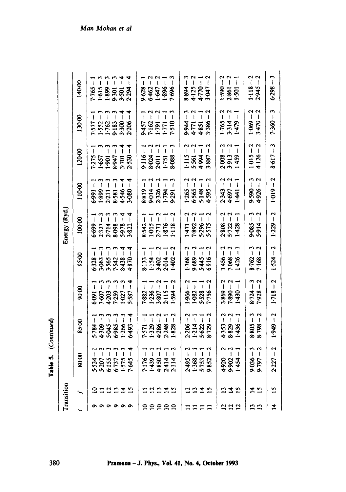. (Continued)

| ш |  |
|---|--|
|   |  |
|   |  |
| ь |  |
|   |  |

|                 | Transition     |                                                                                         |                                                                                                                 |                                                              |                                                                                       | Energy (Ryd.)                                                            |                                                                                                                                                                                                                                                                                                        |                                                                          |                                                                            |                                                                         |
|-----------------|----------------|-----------------------------------------------------------------------------------------|-----------------------------------------------------------------------------------------------------------------|--------------------------------------------------------------|---------------------------------------------------------------------------------------|--------------------------------------------------------------------------|--------------------------------------------------------------------------------------------------------------------------------------------------------------------------------------------------------------------------------------------------------------------------------------------------------|--------------------------------------------------------------------------|----------------------------------------------------------------------------|-------------------------------------------------------------------------|
|                 |                | 80.00                                                                                   | 8500                                                                                                            | 90.00                                                        | 95.00                                                                                 | 100.00                                                                   | 110-00                                                                                                                                                                                                                                                                                                 | 120.00                                                                   | 130-00                                                                     | 140.00                                                                  |
|                 | $\overline{a}$ | $5-534 - 1$<br>$5-207 - 2$<br>$6-155 - 2$<br>$6-157 - 2$<br>$6-1575 - 2$<br>$1-575 - 2$ | $5.784 - 1$<br>$4.309 - 3$<br>$4.905 - 3$<br>$6.985 - 3$<br>$6.985 - 3$<br>$6.935 - 4$                          | $6-091-1$<br>$3-607-3$<br>$4-203-3$<br>$7-259-3$<br>$1-27-3$ | $6 - 328 - 1$<br>$3 - 6 - 326 - 1$<br>$3 - 565 - 1$<br>$3 - 438 - 1$<br>$3 - 438 - 1$ | $\mathbf{I}$<br>6699<br>232714.5882.5832.58                              | $\begin{array}{r} 6.991 - 1 \\ 1.899 - 3 \\ 2.211 - 3 \\ 8.581 - 4 \\ 8.566 - 4 \\ 9.666 - 4 \\ 1.030 - 4 \\ 3.030 - 4 \\ 4.566 - 5 \\ 3.030 - 4 \\ 4.030 - 4 \\ 5.030 - 4 \\ 6.030 - 4 \\ 7.030 - 4 \\ 8.030 - 4 \\ 9.030 - 4 \\ 1.030 - 4 \\ 1.030 - 4 \\ 1.030 - 4 \\ 1.030 - 4 \\ 1.030 - 4 \\ 1.$ | $7.275 - 1$<br>$1.657 - 3$<br>$1.901 - 3$<br>$1.9947 - 3$<br>$3.701 - 4$ | $7-577-1$<br>$1-552-3$<br>$1-762-3$<br>$9-183-3$<br>$3-300-4$<br>$3-300-4$ | $-592.1$                                                                |
|                 |                |                                                                                         |                                                                                                                 |                                                              |                                                                                       | ှ                                                                        |                                                                                                                                                                                                                                                                                                        |                                                                          |                                                                            |                                                                         |
|                 | 12215          |                                                                                         |                                                                                                                 |                                                              |                                                                                       | $\tilde{1}$                                                              |                                                                                                                                                                                                                                                                                                        |                                                                          |                                                                            | $1.615 - 3$<br>1.899 - 3<br>9.301 - 3<br>3.501 - 4                      |
|                 |                |                                                                                         |                                                                                                                 |                                                              |                                                                                       | ີເ                                                                       |                                                                                                                                                                                                                                                                                                        |                                                                          |                                                                            |                                                                         |
|                 |                |                                                                                         |                                                                                                                 |                                                              |                                                                                       | $\frac{4}{1}$                                                            |                                                                                                                                                                                                                                                                                                        |                                                                          |                                                                            |                                                                         |
| ο               |                |                                                                                         |                                                                                                                 | $5 - 587 - 4$                                                | $+870-$                                                                               | $\vec{a}$                                                                |                                                                                                                                                                                                                                                                                                        | $2.530 - 4$                                                              |                                                                            | $2.294 - 4$                                                             |
|                 |                |                                                                                         |                                                                                                                 |                                                              |                                                                                       |                                                                          |                                                                                                                                                                                                                                                                                                        |                                                                          |                                                                            | $9.628 - 1$<br>$6.462 - 2$<br>$1.647 - 2$<br>$1.896 - 1$<br>$1.896 - 3$ |
| 5555            |                | 7.176 - 1<br>1.439 - 1<br>1.4350 - 2<br>2.414 - 2<br>2.114 - 2                          | $7:571 - 1$<br>1.329 - 1<br>4.286 - 2<br>2.248 - 1<br>1.828 - 2<br>$\begin{array}{c} \hline \hline \end{array}$ | $7.882 - 1$<br>1.236 - 1<br>3.807 - 2<br>2.115 - 1           | $8:133 - 1$<br>1:154 - 1<br>3:402 - 2<br>2:014 - 1                                    | $8.542 - 1$<br>1-015 - 1<br>2.771 - 2<br>1.876 - 1<br>1.118 - 2          | $8.819 - 1$ $9.014 - 2$ $2.326 - 1$ $1.794 - 1$ $6.291 - 3$                                                                                                                                                                                                                                            | $9.116 - 1$<br>$8.024 - 2$<br>$2.011 - 2$<br>$1.751 - 1$<br>$1.751 - 3$  | $9.457 - 1$<br>$7.162 - 2$<br>$1.791 - 2$<br>$1.771 - 1$<br>$1.710 - 3$    |                                                                         |
|                 |                |                                                                                         |                                                                                                                 |                                                              |                                                                                       | $\mathfrak{g}$                                                           |                                                                                                                                                                                                                                                                                                        |                                                                          |                                                                            |                                                                         |
|                 | 2235           |                                                                                         |                                                                                                                 |                                                              |                                                                                       |                                                                          |                                                                                                                                                                                                                                                                                                        |                                                                          |                                                                            |                                                                         |
| $\mathbf{r}$    |                |                                                                                         | $\overline{1}$                                                                                                  | $1 - 594 - 2$                                                | $1-402-7$                                                                             | $\frac{2}{1}$                                                            |                                                                                                                                                                                                                                                                                                        |                                                                          |                                                                            |                                                                         |
|                 |                |                                                                                         |                                                                                                                 |                                                              |                                                                                       |                                                                          |                                                                                                                                                                                                                                                                                                        |                                                                          |                                                                            |                                                                         |
|                 | 2212           | $2.495 - 2$<br>1.368 - 1<br>5.753 - 1                                                   | $2.206 - 2$<br>$1.214 - 1$<br>$5.622 - 1$<br>$8.729 - 2$                                                        | $1.966 - 2$<br>$1.082 - 1$<br>$5.528 - 1$<br>$7.756 - 2$     | $2 - 9169 - 2$<br>$5 - 299 - 689 - 2$<br>$5 - 199 - 1$                                | $\frac{1}{471} - 2$<br>$\frac{7}{892} - 2$<br>$5.296 - 1$<br>$5.575 - 2$ | $1.265 - 2$<br>$6.565 - 2$<br>$5.148 - 1$<br>$4.595 - 2$                                                                                                                                                                                                                                               | $1.115 - 2$<br>$5.561 - 2$<br>$4.994 - 1$<br>$3.887 - 2$                 | $9.944 - 3$<br>4.771 - 2<br>4.851 - 1<br>5.386 - 2                         | $8.894 - 3$<br>$4.125 - 2$<br>$4.770 - 1$<br>$3.047 - 2$                |
|                 |                |                                                                                         |                                                                                                                 |                                                              |                                                                                       |                                                                          |                                                                                                                                                                                                                                                                                                        |                                                                          |                                                                            |                                                                         |
|                 |                | $\tilde{ }$<br>9.852                                                                    |                                                                                                                 |                                                              |                                                                                       |                                                                          |                                                                                                                                                                                                                                                                                                        |                                                                          |                                                                            |                                                                         |
| $\overline{12}$ | മ              |                                                                                         |                                                                                                                 |                                                              |                                                                                       |                                                                          |                                                                                                                                                                                                                                                                                                        |                                                                          |                                                                            |                                                                         |
| $\frac{2}{2}$   | $\frac{4}{5}$  | $4.920 - 2$<br>9.902 - 2<br>1.454 - 1                                                   | $4-353-2$<br>8-829-2<br>1-436-1                                                                                 | $3.869 - 2$<br>7.890 - 2<br>1.430 - 1                        | $3-456 - 2$<br>7-068 - 2<br>1-426 - 1                                                 | $2.808 - 2$<br>5.722 - 2<br>5.722 - 1                                    | $2:343 - 2$<br>4-697 - 2<br>1-441 - 1                                                                                                                                                                                                                                                                  | $2.008 - 2$<br>$3.913 - 2$<br>$1.459 - 1$                                | $1.765 - 2$<br>3.314 - 2<br>1.479 - 1                                      | $1.590 - 2$<br>2-861 - 2<br>1.501 - 1                                   |
|                 |                |                                                                                         |                                                                                                                 |                                                              |                                                                                       |                                                                          |                                                                                                                                                                                                                                                                                                        |                                                                          |                                                                            |                                                                         |
| 13              | $\overline{a}$ |                                                                                         |                                                                                                                 |                                                              |                                                                                       |                                                                          |                                                                                                                                                                                                                                                                                                        | $1-015-2$<br>4.126 – 2                                                   | $1.069 - 2$<br>$3.470 - 2$                                                 | $1.118 - 2$<br>2.945 – 2                                                |
| $\mathbf{r}$    | 15             | $9 - 36 - 3$<br>9.797 - 2                                                               | $8.805 - 3$<br>$8.798 - 2$                                                                                      | $8 - 24 - 3$<br>7-928 - 2                                    | $8.762 - 3$<br>7.168 – 2                                                              | $9-085-3$<br>$5-914-2$                                                   | $9-590-3$<br>4-926 - 2                                                                                                                                                                                                                                                                                 |                                                                          |                                                                            |                                                                         |
| $\vec{a}$       | $\overline{2}$ | $2.227 - 2$                                                                             |                                                                                                                 | $1.949 - 2$ $1.718 - 2$                                      | $1.524 - 2$                                                                           | $1.229 - 2$                                                              | $1-019 - 2$                                                                                                                                                                                                                                                                                            | $8 - 617 - 3$                                                            | $7.360 - 3$                                                                | $6 - 362.9$                                                             |
|                 |                |                                                                                         |                                                                                                                 |                                                              |                                                                                       |                                                                          |                                                                                                                                                                                                                                                                                                        |                                                                          |                                                                            |                                                                         |

Man Mohan et al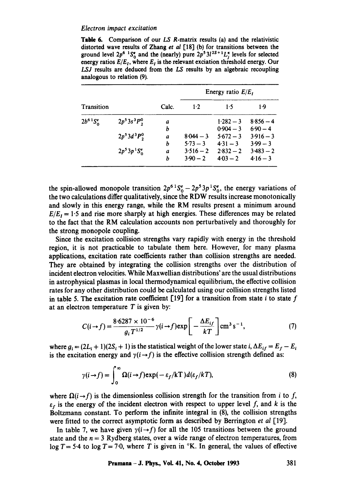**Table** 6. Comparison of our *LS* R-matrix results (a) and the relativistic distorted wave results of Zhang *et al* [18] (b) for transitions between the ground level  $2p^6$  <sup>1</sup>S<sup>e</sup><sub>0</sub> and the (nearly) pure  $2p^53l^{2s+1}L_j^*$  levels for selected energy ratios  $E/E_t$ , where  $E_t$  is the relevant exciation threshold energy. Our *LSJ* results are deduced from the *LS* results by an algebraic recoupling analogous to relation (9).

|                         |                 |                  |             | Energy ratio $E/E_1$ |             |
|-------------------------|-----------------|------------------|-------------|----------------------|-------------|
| Transition              |                 | Calc.            | $1-2$       | 1.5                  | 1.9         |
| $2b^{6}{}^{1}S_{0}^{e}$ | $2p^53s^3P^0$   | a                |             | $1.282 - 3$          | $8.856 - 4$ |
|                         |                 | b                |             | $0.904 - 3$          | $6.90 - 4$  |
|                         | $2p^53d^3P_2^0$ | $\boldsymbol{a}$ | $8.044 - 3$ | $5.672 - 3$          | $3.916 - 3$ |
|                         |                 | b                | $5.73 - 3$  | $4.31 - 3$           | $3.99 - 3$  |
|                         | $2p^53p^1S_0^e$ | a                | $3.516 - 2$ | $2.832 - 2$          | $3.483 - 2$ |
|                         |                 | b                | $3.90 - 2$  | $4.03 - 2$           | $4.16 - 3$  |

the spin-allowed monopole transition  $2p^{6}S_0^e - 2p^53p^1S_0^e$ , the energy variations of the two calculations differ qualitatively, since the RDW results increase monotonically and slowly in this energy range, while the RM results present a minimum around  $E/E<sub>I</sub> = 1.5$  and rise more sharply at high energies. These differences may be related to the fact that the RM calculation accounts non perturbatively and thoroughly for the strong monopole coupling.

Since the excitation collision strengths vary rapidly with energy in the threshold region, it is not practicable to tabulate them here. However, for many plasma applications, excitation rate coefficients rather than collision strengths are needed. They are obtained by integrating the collision strengths over the distribution of incident electron velocities. While Maxwellian distributions' are the usual distributions in astrophysical plasmas in local thermodynamical equilibrium, the effective collision rates for any other distribution could be calculated using our collision strengths listed in table 5. The excitation rate coefficient  $[19]$  for a transition from state i to state f at an electron temperature  $T$  is given by:

$$
C(i \to f) = \frac{8.6287 \times 10^{-6}}{g_i T^{1/2}} \gamma(i \to f) \exp\left[-\frac{\Delta E_{if}}{kT}\right] \text{cm}^3 \text{ s}^{-1},\tag{7}
$$

where  $g_i = (2L_i + 1)(2S_i + 1)$  is the statistical weight of the lower state i,  $\Delta E_{if} = E_f - E_i$ is the excitation energy and  $\gamma(i \rightarrow f)$  is the effective collision strength defined as:

$$
\gamma(i \to f) = \int_0^\infty \Omega(i \to f) \exp(-\varepsilon_f/kT) d(\varepsilon_f/kT), \tag{8}
$$

where  $\Omega(i\rightarrow f)$  is the dimensionless collision strength for the transition from i to f,  $\varepsilon_f$  is the energy of the incident electron with respect to upper level f, and k is the Boltzmann constant. To perform the infinite integral in (8), the collision strengths were fitted to the correct asymptotic form as described by Berrington *et al* [19].

In table 7, we have given  $\gamma(i \rightarrow f)$  for all the 105 transitions between the ground state and the  $n = 3$  Rydberg states, over a wide range of electron temperatures, from log  $T = 5.4$  to log  $T = 7.0$ , where T is given in  $\alpha$ K. In general, the values of effective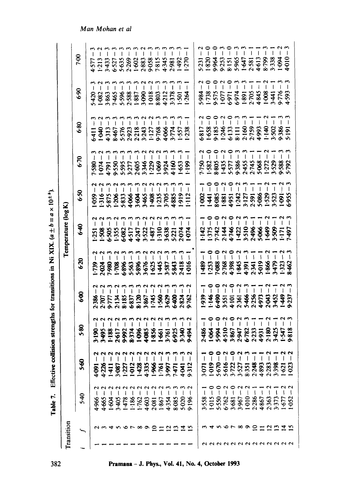| ļ                        |
|--------------------------|
|                          |
|                          |
| $\frac{1}{2}$            |
|                          |
| $\overline{\phantom{a}}$ |
| i<br>!                   |
|                          |
|                          |
|                          |
| <b>NTT WTW</b>           |
|                          |
|                          |
|                          |
|                          |
|                          |
|                          |
|                          |
|                          |
|                          |
| j                        |
|                          |
|                          |
|                          |
|                          |
|                          |
|                          |
|                          |
|                          |
|                          |
|                          |
|                          |
|                          |
| .<br>!                   |
|                          |

| Transition          |                                         |                                |                                                                                                                                                                                                                                                                                                        |                                                                                                                                      |                                                                                                                      | Temperature (log K) |                                         |      |                                                                                                                                                                                |                    |                                                                                                                                                                                                   |
|---------------------|-----------------------------------------|--------------------------------|--------------------------------------------------------------------------------------------------------------------------------------------------------------------------------------------------------------------------------------------------------------------------------------------------------|--------------------------------------------------------------------------------------------------------------------------------------|----------------------------------------------------------------------------------------------------------------------|---------------------|-----------------------------------------|------|--------------------------------------------------------------------------------------------------------------------------------------------------------------------------------|--------------------|---------------------------------------------------------------------------------------------------------------------------------------------------------------------------------------------------|
|                     | 5-40                                    | \$60                           | 5.80                                                                                                                                                                                                                                                                                                   | \$Ø                                                                                                                                  | 6.20                                                                                                                 | 6.40                | 6.50                                    | 6.70 | 6.80                                                                                                                                                                           | 6.90               | 7.00                                                                                                                                                                                              |
|                     | N<br>Ţ<br>4.966                         | N<br>I<br>4-091                |                                                                                                                                                                                                                                                                                                        | 2.386                                                                                                                                |                                                                                                                      |                     |                                         |      |                                                                                                                                                                                |                    | $4577 - 7$<br>$4513 - 7$<br>$453 - 7$<br>$453 - 7$<br>$453 - 7$<br>$453 - 7$<br>$453 - 7$<br>$453 - 7$<br>$453 - 7$<br>$453 - 7$<br>$453 - 7$<br>$453 - 8$<br>$453 - 8$<br>$453 - 8$<br>$453 - 8$ |
|                     | 4.665                                   | 4.226                          |                                                                                                                                                                                                                                                                                                        |                                                                                                                                      |                                                                                                                      |                     |                                         |      |                                                                                                                                                                                |                    |                                                                                                                                                                                                   |
|                     | 1.604                                   | 1411                           | $\begin{array}{l} 3.190 - 2 \\ 3.495 - 2 \\ 1.803 - 2 \\ 1.182 - 2 \\ 1.295 - 2 \\ 2.395 - 2 \\ 2.495 - 2 \\ 2.595 - 2 \\ 2.595 - 2 \\ 2.595 - 2 \\ 2.595 - 2 \\ 2.595 - 2 \\ 2.595 - 2 \\ 2.595 - 2 \\ 2.595 - 2 \\ 2.595 - 2 \\ 2.595 - 2 \\ 2.595 - 2 \\ 2.595 - 2 \\ 2.595 - 2 \\ 2.595 - 2 \\ 2.$ |                                                                                                                                      |                                                                                                                      |                     |                                         |      |                                                                                                                                                                                |                    |                                                                                                                                                                                                   |
|                     | ţ<br>3.405                              | 3-087                          |                                                                                                                                                                                                                                                                                                        |                                                                                                                                      |                                                                                                                      |                     |                                         |      |                                                                                                                                                                                |                    |                                                                                                                                                                                                   |
| $\circ$             | ł<br>1.478                              | 1.227                          |                                                                                                                                                                                                                                                                                                        |                                                                                                                                      |                                                                                                                      |                     |                                         |      |                                                                                                                                                                                |                    |                                                                                                                                                                                                   |
| $\overline{r}$      | 1.186                                   | 1-012                          |                                                                                                                                                                                                                                                                                                        |                                                                                                                                      |                                                                                                                      |                     |                                         |      |                                                                                                                                                                                |                    |                                                                                                                                                                                                   |
|                     | 1.762                                   | 1.428                          |                                                                                                                                                                                                                                                                                                        |                                                                                                                                      |                                                                                                                      |                     |                                         |      |                                                                                                                                                                                |                    |                                                                                                                                                                                                   |
| $\infty$            | 4.603                                   | 4.335                          |                                                                                                                                                                                                                                                                                                        |                                                                                                                                      |                                                                                                                      |                     |                                         |      |                                                                                                                                                                                |                    |                                                                                                                                                                                                   |
| ≘                   | 2.081                                   | 1.966                          |                                                                                                                                                                                                                                                                                                        |                                                                                                                                      |                                                                                                                      |                     |                                         |      |                                                                                                                                                                                |                    |                                                                                                                                                                                                   |
|                     | ţ<br>1.867                              | N<br>161                       |                                                                                                                                                                                                                                                                                                        |                                                                                                                                      |                                                                                                                      |                     |                                         |      |                                                                                                                                                                                |                    |                                                                                                                                                                                                   |
| $\mathbf{z}$        | t<br>4.354                              | <b>1.00.E</b>                  |                                                                                                                                                                                                                                                                                                        |                                                                                                                                      |                                                                                                                      |                     |                                         |      |                                                                                                                                                                                |                    |                                                                                                                                                                                                   |
|                     | 8.085                                   | 1471                           |                                                                                                                                                                                                                                                                                                        |                                                                                                                                      |                                                                                                                      |                     |                                         |      |                                                                                                                                                                                |                    |                                                                                                                                                                                                   |
|                     | ł<br>5.020                              | 4.041                          |                                                                                                                                                                                                                                                                                                        |                                                                                                                                      |                                                                                                                      |                     |                                         |      |                                                                                                                                                                                |                    | 1492<br>1-270                                                                                                                                                                                     |
|                     | ŧ<br>9.196                              | $\sim$<br>9.312                | 3-340<br>042-6                                                                                                                                                                                                                                                                                         | $2.707 - 32.714 - 32.852 - 2.72 - 32.862 - 2.72 - 32.872 - 2.72 - 32.872 - 2.72 - 32.872 - 2.72 - 32.872 - 2.72 - 32.872 - 2.72 - 3$ |                                                                                                                      |                     |                                         |      |                                                                                                                                                                                |                    |                                                                                                                                                                                                   |
|                     |                                         |                                |                                                                                                                                                                                                                                                                                                        |                                                                                                                                      |                                                                                                                      |                     |                                         |      |                                                                                                                                                                                |                    |                                                                                                                                                                                                   |
|                     | $\overline{\mathsf{I}}$<br>3.558        | 3.071                          |                                                                                                                                                                                                                                                                                                        |                                                                                                                                      | 68b                                                                                                                  |                     |                                         |      |                                                                                                                                                                                |                    |                                                                                                                                                                                                   |
|                     | $\begin{array}{c} \end{array}$<br>1.015 | $-919 -$                       |                                                                                                                                                                                                                                                                                                        |                                                                                                                                      |                                                                                                                      |                     |                                         |      |                                                                                                                                                                                |                    |                                                                                                                                                                                                   |
|                     | $\begin{array}{c} \end{array}$<br>5.550 | 5.670                          |                                                                                                                                                                                                                                                                                                        |                                                                                                                                      |                                                                                                                      |                     |                                         |      |                                                                                                                                                                                | $\sim$             |                                                                                                                                                                                                   |
| ہ ہ<br><b>NNNNN</b> | J<br>6762                               | 5.616                          | $\frac{2}{1}$<br>$\degree$<br>2486 - 2486 - 2486 - 2486 - 2596 - 2596 - 2597 - 2597 - 2597 - 2597 - 2597 - 2597 - 2597 - 2597 - 2597 - 2597 - 2597 - 2597 - 2597 - 2597 - 2597 - 2597 - 2597 - 2597 - 2597 - 2597 - 2597 - 2597 - 2597 - 2597 - 2597 - 2597 -                                          | $1939 - 1$<br>$146 - 0$<br>$146 - 0$<br>$6490 - 2$<br>$3551 - 2$<br>$4.101 - 0$<br>$4.101 - 2$                                       | $1:253 - 0$<br>$7-088 - 2$<br>$7-088 - 2$<br>$2:768 - 2$<br>$4:395 - 2$<br>$4:391 - 1$<br>$4:391 - 1$<br>$4:391 - 1$ |                     | $\tilde{ }$<br>1921 3822 3822 3832 3933 |      | $6817 - 2$<br>$1.658 - 0$<br>$1.656 - 0$<br>$5.1246 - 0$<br>$6.133 - 0$<br>$6.133 - 0$<br>$6.133 - 1$<br>$7.759 - 1$<br>$1.49 - 2$<br>$1.49 - 2$<br>$1.49 - 2$<br>$1.5502 - 3$ | $\circ$            |                                                                                                                                                                                                   |
| $\infty$            | ţ<br>3.681                              | 3.722<br>3.527                 |                                                                                                                                                                                                                                                                                                        |                                                                                                                                      |                                                                                                                      |                     |                                         |      |                                                                                                                                                                                | $\mathbf{\hat{z}}$ |                                                                                                                                                                                                   |
| $\sim$              | ١<br>1.010<br>3.967                     | 8.351                          | Ï                                                                                                                                                                                                                                                                                                      | $5-466-3$                                                                                                                            |                                                                                                                      |                     |                                         |      |                                                                                                                                                                                |                    |                                                                                                                                                                                                   |
| ≘                   | $\mathsf{I}$<br>2.286                   | 2.248                          |                                                                                                                                                                                                                                                                                                        | $\overline{1}$                                                                                                                       |                                                                                                                      |                     | $\overline{\phantom{a}}$                |      |                                                                                                                                                                                |                    | I                                                                                                                                                                                                 |
|                     | l<br>4.867                              | 4.893                          |                                                                                                                                                                                                                                                                                                        | $\mathbf{I}$                                                                                                                         |                                                                                                                      |                     | $\overline{\phantom{a}}$                |      |                                                                                                                                                                                |                    | I                                                                                                                                                                                                 |
| ≌                   | ţ<br>2.363                              | 2.283                          |                                                                                                                                                                                                                                                                                                        | $\mathbf{I}$                                                                                                                         |                                                                                                                      |                     |                                         |      |                                                                                                                                                                                |                    |                                                                                                                                                                                                   |
|                     | I<br>3.373                              | 3.398                          |                                                                                                                                                                                                                                                                                                        | $\overline{1}$                                                                                                                       | $\overline{\phantom{a}}$                                                                                             |                     |                                         |      |                                                                                                                                                                                |                    |                                                                                                                                                                                                   |
| 777                 | 1.677                                   | N<br>$-621$                    | 2180<br>3425<br>1.547                                                                                                                                                                                                                                                                                  | $255$<br>$453$<br>$453$<br>$453$<br>$453$                                                                                            | 1866<br>3479<br>1323                                                                                                 |                     |                                         |      |                                                                                                                                                                                | 9.776<br>4.593     |                                                                                                                                                                                                   |
|                     | $\mathbf{I}$<br>1.052                   | $\mathbf{\tilde{c}}$<br>$-023$ | 9818                                                                                                                                                                                                                                                                                                   | 9.237                                                                                                                                | \$462                                                                                                                |                     |                                         |      |                                                                                                                                                                                |                    |                                                                                                                                                                                                   |

 $1-0.23 - 2$ 

Pramana - J. Phys., Vol. 41, No. 4, October 1993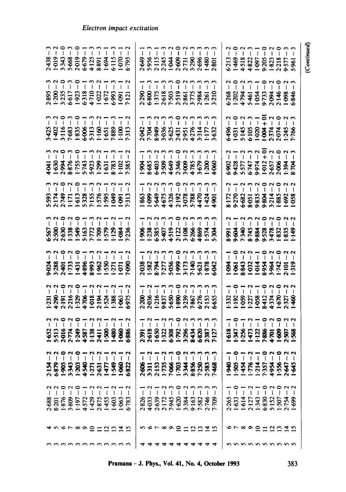| (Continued                                            |                                                                                                                                                                                                                                                                                                                                   |                                                                                                                                                                                                                                                                                                      |                                                                                                                                                                                                                                                                                                          |                                                                                                                 |                                                                                                                   |                                                                                                                                                                                                                                                                                                                                                                                                                                                                                                                                       |                                                                                                                                                                                                                                                                                                                                                              |                                                                                                                                                                                                                                                                                                                                                                                                                                    |                       |                                   |                                                                                                     |
|-------------------------------------------------------|-----------------------------------------------------------------------------------------------------------------------------------------------------------------------------------------------------------------------------------------------------------------------------------------------------------------------------------|------------------------------------------------------------------------------------------------------------------------------------------------------------------------------------------------------------------------------------------------------------------------------------------------------|----------------------------------------------------------------------------------------------------------------------------------------------------------------------------------------------------------------------------------------------------------------------------------------------------------|-----------------------------------------------------------------------------------------------------------------|-------------------------------------------------------------------------------------------------------------------|---------------------------------------------------------------------------------------------------------------------------------------------------------------------------------------------------------------------------------------------------------------------------------------------------------------------------------------------------------------------------------------------------------------------------------------------------------------------------------------------------------------------------------------|--------------------------------------------------------------------------------------------------------------------------------------------------------------------------------------------------------------------------------------------------------------------------------------------------------------------------------------------------------------|------------------------------------------------------------------------------------------------------------------------------------------------------------------------------------------------------------------------------------------------------------------------------------------------------------------------------------------------------------------------------------------------------------------------------------|-----------------------|-----------------------------------|-----------------------------------------------------------------------------------------------------|
|                                                       | 6.846                                                                                                                                                                                                                                                                                                                             |                                                                                                                                                                                                                                                                                                      |                                                                                                                                                                                                                                                                                                          | -058                                                                                                            | 149                                                                                                               | 1:319                                                                                                                                                                                                                                                                                                                                                                                                                                                                                                                                 |                                                                                                                                                                                                                                                                                                                                                              | <b>1.568</b>                                                                                                                                                                                                                                                                                                                                                                                                                       | Э                     | 699                               |                                                                                                     |
| $\sim$                                                |                                                                                                                                                                                                                                                                                                                                   | $6-496 - 2$<br>$1-0$<br>$-0$<br>$-0$<br>$-1$<br>$-0$<br>$-1$<br>$-0$<br>$-1$<br>$-0$<br>$-1$<br>$-0$<br>$-1$<br>$-0$<br>$-1$<br>$-0$<br>$-0$<br>$-1$<br>$-0$<br>$-0$<br>$-0$<br>$-0$<br>$-0$<br>$-0$<br>$-0$<br>$-0$<br>$-0$<br>$-0$<br>$-0$<br>$-0$<br>$-0$<br>$-0$<br>$-0$<br>$-0$<br>$-0$<br>$-0$ |                                                                                                                                                                                                                                                                                                          |                                                                                                                 | $\begin{array}{c c c c c c} n-n & n & n & n & n & n & n\\ \hline 1 & 1 & 1 & 1 & 1 & 1 & 1 & 1 & 1\\ \end{array}$ | $\begin{array}{c c c c c c} \hline \multicolumn{3}{c }{\multicolumn{3}{c }{\multicolumn{3}{c}{\multicolumn{3}{c}{\multicolumn{3}{c}{\multicolumn{3}{c}{\multicolumn{3}{c}{\multicolumn{3}{c}{\multicolumn{3}{c}{\multicolumn{3}{c}{\multicolumn{3}{c}{\multicolumn{3}{c}{\multicolumn{3}{c}{\multicolumn{3}{c}{\multicolumn{3}{c}{\multicolumn{3}{c}{\multicolumn{3}{c}{\multicolumn{3}{c}{\multicolumn{3}{c}{\multicolumn{3}{c}{\multicolumn{3}{c}{\multicolumn{3}{c}{$                                                              | $\begin{array}{l} 1 \cdot 332 - 1 \\ 1 \cdot 92 - 2 \\ 1 \cdot 939 - 1 \\ 1 \cdot 227 - 2 \\ 1 \cdot 232 - 2 \\ 1 \cdot 234 - 24 \\ 1 \cdot 244 - 24 \\ 1 \cdot 244 - 24 \\ 1 \cdot 244 - 24 \\ 1 \cdot 244 - 24 \\ 1 \cdot 244 - 24 \\ 1 \cdot 244 - 24 \\ 1 \cdot 244 - 24 \\ 1 \cdot 244 - 24 \\ 1 \cdot 244 - 24 \\ 1 \cdot 244 - 24 \\ 1 \cdot 244 - 2$ | $1\begin{array}{l} -1 \\ 1\end{array}$ $\begin{array}{l} -0 \\ 1\end{array}$ $\begin{array}{l} -1 \\ 1\end{array}$ $\begin{array}{l} -1 \\ 1\end{array}$ $\begin{array}{l} -1 \\ 1\end{array}$ $\begin{array}{l} -1 \\ 1\end{array}$ $\begin{array}{l} -1 \\ 1\end{array}$ $\begin{array}{l} -1 \\ 1\end{array}$ $\begin{array}{l} -1 \\ 1\end{array}$ $\begin{array}{l} -1 \\ 1\end{array}$ $\begin{array}{l} -1 \\ 1\end{array}$ | 2-647                 | 2022<br>2.754                     | $\circ$ r $\circ$ o $\circ$ $\circ$ $\circ$ $\circ$ $\circ$ $\circ$ $\circ$<br>n n n n n n n n n n  |
| 1469<br>4518<br>4822<br>1823<br>1823<br>1825<br>19577 | nonm-onon                                                                                                                                                                                                                                                                                                                         |                                                                                                                                                                                                                                                                                                      |                                                                                                                                                                                                                                                                                                          | 8172<br>9270<br>93533343532<br>9353343532<br>9253343532                                                         |                                                                                                                   | 1983324888822101                                                                                                                                                                                                                                                                                                                                                                                                                                                                                                                      |                                                                                                                                                                                                                                                                                                                                                              |                                                                                                                                                                                                                                                                                                                                                                                                                                    | 1.556                 | 1.507                             |                                                                                                     |
| I                                                     |                                                                                                                                                                                                                                                                                                                                   |                                                                                                                                                                                                                                                                                                      |                                                                                                                                                                                                                                                                                                          |                                                                                                                 |                                                                                                                   |                                                                                                                                                                                                                                                                                                                                                                                                                                                                                                                                       |                                                                                                                                                                                                                                                                                                                                                              |                                                                                                                                                                                                                                                                                                                                                                                                                                    | 4.954                 | 5.152                             |                                                                                                     |
| aoam-oao<br>$\overline{\phantom{a}}$                  |                                                                                                                                                                                                                                                                                                                                   |                                                                                                                                                                                                                                                                                                      |                                                                                                                                                                                                                                                                                                          | 7000000                                                                                                         |                                                                                                                   |                                                                                                                                                                                                                                                                                                                                                                                                                                                                                                                                       |                                                                                                                                                                                                                                                                                                                                                              |                                                                                                                                                                                                                                                                                                                                                                                                                                    | 7.357                 | 6.830                             |                                                                                                     |
| $\blacksquare$                                        | $\mathbf{I}$                                                                                                                                                                                                                                                                                                                      |                                                                                                                                                                                                                                                                                                      |                                                                                                                                                                                                                                                                                                          |                                                                                                                 |                                                                                                                   |                                                                                                                                                                                                                                                                                                                                                                                                                                                                                                                                       |                                                                                                                                                                                                                                                                                                                                                              |                                                                                                                                                                                                                                                                                                                                                                                                                                    | $\mathbf{I}$<br>1.214 | 1.343                             |                                                                                                     |
|                                                       |                                                                                                                                                                                                                                                                                                                                   |                                                                                                                                                                                                                                                                                                      |                                                                                                                                                                                                                                                                                                          |                                                                                                                 |                                                                                                                   |                                                                                                                                                                                                                                                                                                                                                                                                                                                                                                                                       |                                                                                                                                                                                                                                                                                                                                                              |                                                                                                                                                                                                                                                                                                                                                                                                                                    | 1.776                 | 2.127                             |                                                                                                     |
|                                                       |                                                                                                                                                                                                                                                                                                                                   |                                                                                                                                                                                                                                                                                                      |                                                                                                                                                                                                                                                                                                          |                                                                                                                 |                                                                                                                   |                                                                                                                                                                                                                                                                                                                                                                                                                                                                                                                                       |                                                                                                                                                                                                                                                                                                                                                              |                                                                                                                                                                                                                                                                                                                                                                                                                                    | 1454                  | 1.614                             |                                                                                                     |
|                                                       |                                                                                                                                                                                                                                                                                                                                   |                                                                                                                                                                                                                                                                                                      |                                                                                                                                                                                                                                                                                                          |                                                                                                                 |                                                                                                                   |                                                                                                                                                                                                                                                                                                                                                                                                                                                                                                                                       |                                                                                                                                                                                                                                                                                                                                                              |                                                                                                                                                                                                                                                                                                                                                                                                                                    | 1.505                 | 1.633                             |                                                                                                     |
| 6.213                                                 |                                                                                                                                                                                                                                                                                                                                   |                                                                                                                                                                                                                                                                                                      |                                                                                                                                                                                                                                                                                                          |                                                                                                                 |                                                                                                                   |                                                                                                                                                                                                                                                                                                                                                                                                                                                                                                                                       |                                                                                                                                                                                                                                                                                                                                                              |                                                                                                                                                                                                                                                                                                                                                                                                                                    | 016-1                 | 2.265                             |                                                                                                     |
| 2.801                                                 | 3.210                                                                                                                                                                                                                                                                                                                             |                                                                                                                                                                                                                                                                                                      |                                                                                                                                                                                                                                                                                                          | 1.901                                                                                                           |                                                                                                                   |                                                                                                                                                                                                                                                                                                                                                                                                                                                                                                                                       |                                                                                                                                                                                                                                                                                                                                                              |                                                                                                                                                                                                                                                                                                                                                                                                                                    |                       |                                   |                                                                                                     |
| 1.480                                                 | 1:261                                                                                                                                                                                                                                                                                                                             | 1.177<br>3.632                                                                                                                                                                                                                                                                                       |                                                                                                                                                                                                                                                                                                          |                                                                                                                 |                                                                                                                   |                                                                                                                                                                                                                                                                                                                                                                                                                                                                                                                                       |                                                                                                                                                                                                                                                                                                                                                              |                                                                                                                                                                                                                                                                                                                                                                                                                                    | 2-583<br>7-468        | 2.746<br>7.709                    |                                                                                                     |
|                                                       |                                                                                                                                                                                                                                                                                                                                   |                                                                                                                                                                                                                                                                                                      |                                                                                                                                                                                                                                                                                                          |                                                                                                                 |                                                                                                                   |                                                                                                                                                                                                                                                                                                                                                                                                                                                                                                                                       |                                                                                                                                                                                                                                                                                                                                                              |                                                                                                                                                                                                                                                                                                                                                                                                                                    | 7.250                 | 9.163<br>7.582                    |                                                                                                     |
|                                                       |                                                                                                                                                                                                                                                                                                                                   |                                                                                                                                                                                                                                                                                                      |                                                                                                                                                                                                                                                                                                          | $\overline{\phantom{a}}$                                                                                        |                                                                                                                   |                                                                                                                                                                                                                                                                                                                                                                                                                                                                                                                                       |                                                                                                                                                                                                                                                                                                                                                              |                                                                                                                                                                                                                                                                                                                                                                                                                                    | 8.856                 |                                   |                                                                                                     |
| $\mathbf{I}$                                          | mmonmmmm<br>$\mathbf{I}$                                                                                                                                                                                                                                                                                                          |                                                                                                                                                                                                                                                                                                      |                                                                                                                                                                                                                                                                                                          | $\overline{\phantom{a}}$                                                                                        |                                                                                                                   |                                                                                                                                                                                                                                                                                                                                                                                                                                                                                                                                       |                                                                                                                                                                                                                                                                                                                                                              |                                                                                                                                                                                                                                                                                                                                                                                                                                    | 3.344                 | $\sim$<br>3.384                   |                                                                                                     |
| $\overline{\phantom{a}}$                              | $\mathbf{r}$                                                                                                                                                                                                                                                                                                                      |                                                                                                                                                                                                                                                                                                      |                                                                                                                                                                                                                                                                                                          | $\overline{1}$                                                                                                  |                                                                                                                   |                                                                                                                                                                                                                                                                                                                                                                                                                                                                                                                                       |                                                                                                                                                                                                                                                                                                                                                              |                                                                                                                                                                                                                                                                                                                                                                                                                                    | $1 - 703$             | 1.620                             |                                                                                                     |
| $\mathbf{J}$                                          | $\mathsf I$                                                                                                                                                                                                                                                                                                                       |                                                                                                                                                                                                                                                                                                      |                                                                                                                                                                                                                                                                                                          | $\pmb{\}$                                                                                                       |                                                                                                                   |                                                                                                                                                                                                                                                                                                                                                                                                                                                                                                                                       |                                                                                                                                                                                                                                                                                                                                                              |                                                                                                                                                                                                                                                                                                                                                                                                                                    | 7-066                 |                                   |                                                                                                     |
| - n - n N 0 N m m m m<br>288234825888                 |                                                                                                                                                                                                                                                                                                                                   | - nannoannnn<br>$2.942 - 2.42 - 2.531 - 2.531 - 2.531 - 2.531 - 2.531 - 2.531 - 2.531 - 2.531 - 2.531 - 2.531 - 2.531 - 2.531 - 2.531 - 2.531 - 2.531 - 2.531 - 2.531 - 2.531 - 2.531 - 2.531 - 2.531 - 2.531 - 2.531 - 2.531 - 2.531 - 2.531 - 2.531 - 2.531 - 2.531 - 2.53$                        | $\begin{array}{l} 3 \\ 8.685 - 7 \\ 8.493 - 7 \\ 9.493 - 7 \\ 9.493 - 7 \\ 9.493 - 7 \\ 9.493 - 7 \\ 9.493 - 7 \\ 9.493 - 7 \\ 9.493 - 7 \\ 9.493 - 7 \\ 9.493 - 7 \\ 9.493 - 7 \\ 9.493 - 7 \\ 9.493 - 7 \\ 9.493 - 7 \\ 9.493 - 7 \\ 9.493 - 7 \\ 9.493 - 7 \\ 9.493 - 7 \\ 9.493 - 7 \\ 9.493 - 7 \\$ | <b>AAMMONMMM</b><br>$\overline{\phantom{a}}$<br>1863<br>1988 4673<br>4673 2198 820<br>447 308 820               | 1-966<br>1-338 4519 31218 3266<br>6-54512 3126 3266 4574                                                          | $\begin{array}{c} \texttt{N} \\ \texttt{N} \\ \texttt{N} \\ \texttt{N} \\ \texttt{N} \\ \texttt{N} \\ \texttt{N} \\ \texttt{N} \\ \texttt{N} \\ \texttt{N} \\ \texttt{N} \\ \texttt{N} \\ \texttt{N} \\ \texttt{N} \\ \texttt{N} \\ \texttt{N} \\ \texttt{N} \\ \texttt{N} \\ \texttt{N} \\ \texttt{N} \\ \texttt{N} \\ \texttt{N} \\ \texttt{N} \\ \texttt{N} \\ \texttt{N} \\ \texttt{N} \\ \texttt{N} \\ \texttt{N} \\ \texttt{N} \\ \texttt{N} \\ \texttt$<br>2038<br>282758882753821<br>2827588275482754821<br>28282828282828282 | $2:200 - 1$<br>$2:16 - 3$<br>$2:16 - 3$<br>$2:16 - 3$<br>$2:16 - 3$<br>$2:16 - 3$<br>$2:16 - 2$<br>$2:16 - 3$<br>$2:16 - 3$<br>$2:16 - 3$<br>$2:16 - 3$<br>$2:16 - 3$<br>$2:16 - 3$<br>$2:16 - 3$                                                                                                                                                            |                                                                                                                                                                                                                                                                                                                                                                                                                                    | 1.735                 | $\sim$<br>2.639<br>2.172<br>7.945 | s ver mondern de la via de la via de la via de la via de la via de la via de la via de la via de la |
|                                                       | $\overline{\phantom{a}}$                                                                                                                                                                                                                                                                                                          |                                                                                                                                                                                                                                                                                                      |                                                                                                                                                                                                                                                                                                          | $\overline{\phantom{a}}$                                                                                        |                                                                                                                   |                                                                                                                                                                                                                                                                                                                                                                                                                                                                                                                                       |                                                                                                                                                                                                                                                                                                                                                              |                                                                                                                                                                                                                                                                                                                                                                                                                                    | 2.153                 |                                   |                                                                                                     |
|                                                       |                                                                                                                                                                                                                                                                                                                                   |                                                                                                                                                                                                                                                                                                      |                                                                                                                                                                                                                                                                                                          |                                                                                                                 |                                                                                                                   |                                                                                                                                                                                                                                                                                                                                                                                                                                                                                                                                       |                                                                                                                                                                                                                                                                                                                                                              |                                                                                                                                                                                                                                                                                                                                                                                                                                    | 3-311                 | 4033                              |                                                                                                     |
|                                                       | $\mathbf{I}$                                                                                                                                                                                                                                                                                                                      |                                                                                                                                                                                                                                                                                                      | <b>NO6-1</b>                                                                                                                                                                                                                                                                                             |                                                                                                                 |                                                                                                                   |                                                                                                                                                                                                                                                                                                                                                                                                                                                                                                                                       |                                                                                                                                                                                                                                                                                                                                                              |                                                                                                                                                                                                                                                                                                                                                                                                                                    | 2-606                 | 2826                              |                                                                                                     |
| 6.795                                                 | 7:121                                                                                                                                                                                                                                                                                                                             |                                                                                                                                                                                                                                                                                                      | 7.385                                                                                                                                                                                                                                                                                                    |                                                                                                                 |                                                                                                                   |                                                                                                                                                                                                                                                                                                                                                                                                                                                                                                                                       | 5975                                                                                                                                                                                                                                                                                                                                                         | $\vert$<br>6-886                                                                                                                                                                                                                                                                                                                                                                                                                   | 6822                  | $\mathbf{\Omega}$<br>6.783        |                                                                                                     |
| 6.115                                                 | 1.091                                                                                                                                                                                                                                                                                                                             |                                                                                                                                                                                                                                                                                                      |                                                                                                                                                                                                                                                                                                          |                                                                                                                 | $\frac{1}{2}$                                                                                                     | $\mathbf{a} = \mathbf{a}$                                                                                                                                                                                                                                                                                                                                                                                                                                                                                                             | $-0 - 0$                                                                                                                                                                                                                                                                                                                                                     | $1-060 -$                                                                                                                                                                                                                                                                                                                                                                                                                          | 1-060                 | 1.063                             | wersong Hunding                                                                                     |
|                                                       | 6.993                                                                                                                                                                                                                                                                                                                             |                                                                                                                                                                                                                                                                                                      |                                                                                                                                                                                                                                                                                                          | $\sim$ $\sim$                                                                                                   |                                                                                                                   |                                                                                                                                                                                                                                                                                                                                                                                                                                                                                                                                       |                                                                                                                                                                                                                                                                                                                                                              | $-2$<br>$1-480 -$                                                                                                                                                                                                                                                                                                                                                                                                                  | 1549                  | 1.603                             |                                                                                                     |
| $\mathsf I$<br>1.694                                  | $\mathbf{1}$<br>1.022<br>1.672                                                                                                                                                                                                                                                                                                    | $\vert$                                                                                                                                                                                                                                                                                              |                                                                                                                                                                                                                                                                                                          | $\overline{\phantom{a}}$                                                                                        |                                                                                                                   | $\mathsf{I}$                                                                                                                                                                                                                                                                                                                                                                                                                                                                                                                          | $\pmb{\mathcal{I}}$                                                                                                                                                                                                                                                                                                                                          | $1 - 500 -$                                                                                                                                                                                                                                                                                                                                                                                                                        | 1477                  | 1.455                             |                                                                                                     |
|                                                       |                                                                                                                                                                                                                                                                                                                                   |                                                                                                                                                                                                                                                                                                      |                                                                                                                                                                                                                                                                                                          |                                                                                                                 |                                                                                                                   |                                                                                                                                                                                                                                                                                                                                                                                                                                                                                                                                       |                                                                                                                                                                                                                                                                                                                                                              |                                                                                                                                                                                                                                                                                                                                                                                                                                    | 2-631                 | 2.875                             |                                                                                                     |
|                                                       |                                                                                                                                                                                                                                                                                                                                   |                                                                                                                                                                                                                                                                                                      |                                                                                                                                                                                                                                                                                                          |                                                                                                                 |                                                                                                                   |                                                                                                                                                                                                                                                                                                                                                                                                                                                                                                                                       |                                                                                                                                                                                                                                                                                                                                                              |                                                                                                                                                                                                                                                                                                                                                                                                                                    | 1:271                 | $\sim$<br>1.429                   |                                                                                                     |
| $\overline{\phantom{a}}$                              |                                                                                                                                                                                                                                                                                                                                   |                                                                                                                                                                                                                                                                                                      |                                                                                                                                                                                                                                                                                                          |                                                                                                                 |                                                                                                                   |                                                                                                                                                                                                                                                                                                                                                                                                                                                                                                                                       |                                                                                                                                                                                                                                                                                                                                                              |                                                                                                                                                                                                                                                                                                                                                                                                                                    | 4-540                 | 4.572                             |                                                                                                     |
|                                                       |                                                                                                                                                                                                                                                                                                                                   |                                                                                                                                                                                                                                                                                                      |                                                                                                                                                                                                                                                                                                          |                                                                                                                 |                                                                                                                   |                                                                                                                                                                                                                                                                                                                                                                                                                                                                                                                                       |                                                                                                                                                                                                                                                                                                                                                              |                                                                                                                                                                                                                                                                                                                                                                                                                                    | $1 - 203$             | 1.197                             |                                                                                                     |
|                                                       |                                                                                                                                                                                                                                                                                                                                   |                                                                                                                                                                                                                                                                                                      |                                                                                                                                                                                                                                                                                                          |                                                                                                                 |                                                                                                                   |                                                                                                                                                                                                                                                                                                                                                                                                                                                                                                                                       |                                                                                                                                                                                                                                                                                                                                                              |                                                                                                                                                                                                                                                                                                                                                                                                                                    | 3-343                 | $\sim$ $\sim$<br>3.809            |                                                                                                     |
|                                                       |                                                                                                                                                                                                                                                                                                                                   |                                                                                                                                                                                                                                                                                                      |                                                                                                                                                                                                                                                                                                          |                                                                                                                 |                                                                                                                   |                                                                                                                                                                                                                                                                                                                                                                                                                                                                                                                                       |                                                                                                                                                                                                                                                                                                                                                              |                                                                                                                                                                                                                                                                                                                                                                                                                                    | 1-905                 | 1.876                             |                                                                                                     |
| 2438<br>1913 368<br>1934 369 961<br>2010 4123         | $\begin{array}{c} 0.000000000 \\ 0.00000000 \\ 0.000000 \\ 0.000000 \\ 0.00000 \\ 0.00000 \\ 0.00000 \\ 0.00000 \\ 0.00000 \\ 0.00000 \\ 0.00000 \\ 0.00000 \\ 0.00000 \\ 0.00000 \\ 0.00000 \\ 0.00000 \\ 0.00000 \\ 0.00000 \\ 0.00000 \\ 0.00000 \\ 0.00000 \\ 0.00000 \\ 0.000$<br>2895<br>1-200<br>1-2017<br>6-318<br>4-7110 | m N O M O — M N — M — N<br>3434 = 3835 = 3835 = 3835 = 384 = 3855 = 3855 = 3855 = 3855 = 3855 = 3855 = 3855 = 3855 = 3855 = 3855 = 3855 = 3855 = 3855 = 3855 = 3855 = 3855 = 3855 = 3855 = 3855 = 3855 = 3855 = 3855 = 3855 = 3855 = 3855 = 3855 = 3855 =                                            | $4041 - 3$ $-30 - 2$ $-30 - 1$ $-30 - 1$ $-30 - 1$ $-30 - 1$ $-30 - 1$ $-30 - 1$ $-30 - 1$ $-30 - 1$ $-30 - 1$ $-30 - 1$ $-30 - 1$ $-30 - 1$ $-30 - 1$ $-30 - 1$ $-30 - 1$ $-30 - 1$ $-30 - 1$ $-30 - 1$                                                                                                 | $\begin{array}{c} 0.00000000 \\ 0.0000000 \\ 0.000000 \\ \end{array}$<br>5593 778 7793 7793 7793 7793 7794 7795 | 6567<br>2308 839 930 121 232 34<br>2308 930 121 232 343 1336<br>231 132 133 134 135                               |                                                                                                                                                                                                                                                                                                                                                                                                                                                                                                                                       |                                                                                                                                                                                                                                                                                                                                                              | $1-652-2$<br>$5-513-2$<br>$5-513-2$<br>$2-3016-0$<br>$2-749-1$<br>$2-3016-2$<br>$2-3016-2$<br>$2-3016-2$<br>$2-3016-2$<br>$2-3016-2$                                                                                                                                                                                                                                                                                               | 2154<br>6879          | 000<br>2.688<br>8.201             | mmmmmmmmmmm                                                                                         |
|                                                       |                                                                                                                                                                                                                                                                                                                                   |                                                                                                                                                                                                                                                                                                      |                                                                                                                                                                                                                                                                                                          |                                                                                                                 |                                                                                                                   |                                                                                                                                                                                                                                                                                                                                                                                                                                                                                                                                       |                                                                                                                                                                                                                                                                                                                                                              |                                                                                                                                                                                                                                                                                                                                                                                                                                    |                       |                                   |                                                                                                     |

Pramana - J. Phys., Vol. 41, No. 4, October 1993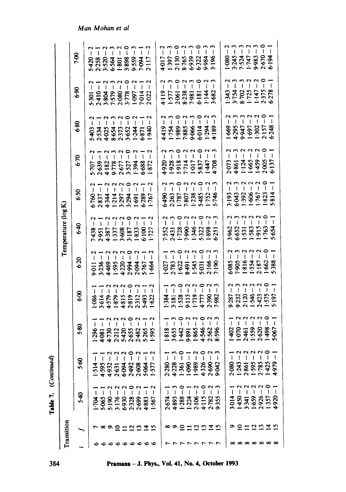|           |                               | Table 7.              | (Continued)              |                                                                                                                                                                                                                                                                                                                                                                                                                         |                                                                                                                                                                                                                                                                                                                                                                                  |                                                                                                                                                                                                                                                                                                                                             |                                                                     |                                                         |                                                                |                                                                                                                                                                                                                                                                                   |                                                    |                                                                                             |
|-----------|-------------------------------|-----------------------|--------------------------|-------------------------------------------------------------------------------------------------------------------------------------------------------------------------------------------------------------------------------------------------------------------------------------------------------------------------------------------------------------------------------------------------------------------------|----------------------------------------------------------------------------------------------------------------------------------------------------------------------------------------------------------------------------------------------------------------------------------------------------------------------------------------------------------------------------------|---------------------------------------------------------------------------------------------------------------------------------------------------------------------------------------------------------------------------------------------------------------------------------------------------------------------------------------------|---------------------------------------------------------------------|---------------------------------------------------------|----------------------------------------------------------------|-----------------------------------------------------------------------------------------------------------------------------------------------------------------------------------------------------------------------------------------------------------------------------------|----------------------------------------------------|---------------------------------------------------------------------------------------------|
|           | Transition                    |                       |                          |                                                                                                                                                                                                                                                                                                                                                                                                                         |                                                                                                                                                                                                                                                                                                                                                                                  |                                                                                                                                                                                                                                                                                                                                             | Temperature (log K)                                                 |                                                         |                                                                |                                                                                                                                                                                                                                                                                   |                                                    |                                                                                             |
|           |                               | $5-40$                | \$.60                    | 5.80                                                                                                                                                                                                                                                                                                                                                                                                                    | <b>8.9</b>                                                                                                                                                                                                                                                                                                                                                                       | 6:20                                                                                                                                                                                                                                                                                                                                        | $6 - 40$                                                            | 6.50                                                    | 6.70                                                           | 6.80                                                                                                                                                                                                                                                                              | 6.90                                               | <b>P-00</b>                                                                                 |
|           |                               |                       | 1.514                    | $\mathbf{I}$<br>1.296                                                                                                                                                                                                                                                                                                                                                                                                   | $\mathbf{I}$<br>.086                                                                                                                                                                                                                                                                                                                                                             | $\mathsf I$<br><b>P-011</b>                                                                                                                                                                                                                                                                                                                 |                                                                     |                                                         |                                                                | 5-403<br>2-534<br>4-025                                                                                                                                                                                                                                                           |                                                    | 6420                                                                                        |
|           |                               | 1704                  |                          |                                                                                                                                                                                                                                                                                                                                                                                                                         |                                                                                                                                                                                                                                                                                                                                                                                  |                                                                                                                                                                                                                                                                                                                                             |                                                                     |                                                         |                                                                |                                                                                                                                                                                                                                                                                   |                                                    |                                                                                             |
|           |                               | $\mathbf{I}$<br>5-065 | 4.595                    | $4.730 - 4.730$                                                                                                                                                                                                                                                                                                                                                                                                         | 3.614                                                                                                                                                                                                                                                                                                                                                                            | $\frac{2}{1}$<br>$3.236 - 1$<br>4.469 - 2                                                                                                                                                                                                                                                                                                   |                                                                     | $\mathbf{I}$                                            | $ \sim$<br>ļ                                                   |                                                                                                                                                                                                                                                                                   |                                                    |                                                                                             |
|           | ືອ                            | 5.190                 | 4.932<br>2.631           | 2.212                                                                                                                                                                                                                                                                                                                                                                                                                   |                                                                                                                                                                                                                                                                                                                                                                                  |                                                                                                                                                                                                                                                                                                                                             | 7438<br>2.951<br>4.337<br>5.833<br>5.833<br>6.100<br>6.100          | 6760<br>283744452345<br>28384444523459<br>2838444452459 | 5.707<br>2.639<br>4.182<br>9.778                               | 8-532<br>2-352<br>8-524<br>8-534<br>8-538                                                                                                                                                                                                                                         |                                                    | 2.258<br>3.520<br>5.530<br>3.898                                                            |
|           |                               | 6.930<br>3.176        | 6.094                    | $5-420$                                                                                                                                                                                                                                                                                                                                                                                                                 | I<br>1879<br>4819<br>2812<br>5493<br>1622                                                                                                                                                                                                                                                                                                                                        | $1 - 595 - 2$<br>$4 - 220 - 2$<br>$2 - 994 - 2$<br>$2 - 0$                                                                                                                                                                                                                                                                                  | $\sim$ $\sim$                                                       |                                                         | $\frac{1}{2}$<br>2.677<br>3.527<br>6.688                       |                                                                                                                                                                                                                                                                                   |                                                    |                                                                                             |
| ∾         | $\equiv$ $\Xi$ $\Xi$ $\equiv$ |                       | 2.492                    | 2.655                                                                                                                                                                                                                                                                                                                                                                                                                   | $\overline{\mathbf{I}}$                                                                                                                                                                                                                                                                                                                                                          |                                                                                                                                                                                                                                                                                                                                             |                                                                     |                                                         |                                                                |                                                                                                                                                                                                                                                                                   |                                                    |                                                                                             |
| ∾         |                               | 2.328                 |                          |                                                                                                                                                                                                                                                                                                                                                                                                                         |                                                                                                                                                                                                                                                                                                                                                                                  |                                                                                                                                                                                                                                                                                                                                             |                                                                     |                                                         |                                                                |                                                                                                                                                                                                                                                                                   |                                                    | 9.559<br>7.094<br>2.117                                                                     |
| ∾         |                               | 2.699                 | 2.608                    | 2.482                                                                                                                                                                                                                                                                                                                                                                                                                   | $\overline{\phantom{a}}$                                                                                                                                                                                                                                                                                                                                                         |                                                                                                                                                                                                                                                                                                                                             |                                                                     |                                                         | $\mathbf{1}$                                                   |                                                                                                                                                                                                                                                                                   |                                                    |                                                                                             |
|           |                               | 4.883                 | 5.064                    | 5.265                                                                                                                                                                                                                                                                                                                                                                                                                   | $\begin{array}{c} \rule{0pt}{2.5ex} \rule{0pt}{2.5ex} \rule{0pt}{2.5ex} \rule{0pt}{2.5ex} \rule{0pt}{2.5ex} \rule{0pt}{2.5ex} \rule{0pt}{2.5ex} \rule{0pt}{2.5ex} \rule{0pt}{2.5ex} \rule{0pt}{2.5ex} \rule{0pt}{2.5ex} \rule{0pt}{2.5ex} \rule{0pt}{2.5ex} \rule{0pt}{2.5ex} \rule{0pt}{2.5ex} \rule{0pt}{2.5ex} \rule{0pt}{2.5ex} \rule{0pt}{2.5ex} \rule{0pt}{2.5ex} \rule{0$ | $5.767 - 1$<br>1.664 - 2                                                                                                                                                                                                                                                                                                                    | $\vert$                                                             |                                                         |                                                                | $\,$ $\,$                                                                                                                                                                                                                                                                         |                                                    |                                                                                             |
|           | ≌                             | 1<br>1.567            | 1.577                    | $\mathbf{I}$<br>1.595                                                                                                                                                                                                                                                                                                                                                                                                   | $\mathbf{I}$                                                                                                                                                                                                                                                                                                                                                                     |                                                                                                                                                                                                                                                                                                                                             |                                                                     |                                                         | $\overline{1}$<br>1.872                                        |                                                                                                                                                                                                                                                                                   |                                                    |                                                                                             |
|           |                               |                       |                          |                                                                                                                                                                                                                                                                                                                                                                                                                         | $\overline{1}$                                                                                                                                                                                                                                                                                                                                                                   |                                                                                                                                                                                                                                                                                                                                             |                                                                     |                                                         |                                                                |                                                                                                                                                                                                                                                                                   |                                                    | 4017<br>1.397<br>1.30.<br>2.130.<br>6.323<br>6.384.<br>6.39.84.                             |
|           |                               | 2.674                 | 2.280                    | 1.818                                                                                                                                                                                                                                                                                                                                                                                                                   |                                                                                                                                                                                                                                                                                                                                                                                  |                                                                                                                                                                                                                                                                                                                                             |                                                                     |                                                         |                                                                |                                                                                                                                                                                                                                                                                   |                                                    |                                                                                             |
|           |                               | 4.893                 | 4-228                    | $3.655 -$                                                                                                                                                                                                                                                                                                                                                                                                               | ှ<br>1384<br>1518                                                                                                                                                                                                                                                                                                                                                                | $\mathbf{r}$                                                                                                                                                                                                                                                                                                                                |                                                                     |                                                         |                                                                | $\overline{\phantom{a}}$                                                                                                                                                                                                                                                          |                                                    |                                                                                             |
|           |                               | 1.288                 | 1.361                    | $\degree$<br>1.442                                                                                                                                                                                                                                                                                                                                                                                                      | $\bigcap$                                                                                                                                                                                                                                                                                                                                                                        | $\degree$                                                                                                                                                                                                                                                                                                                                   | non                                                                 |                                                         | 4-920<br>1-918<br>1-114<br>1-117<br>1-837<br>5-837             |                                                                                                                                                                                                                                                                                   |                                                    |                                                                                             |
|           |                               | 1.224                 | 1.090                    | $\begin{array}{c} \rule{0pt}{2ex} \rule{0pt}{2ex} \rule{0pt}{2ex} \rule{0pt}{2ex} \rule{0pt}{2ex} \rule{0pt}{2ex} \rule{0pt}{2ex} \rule{0pt}{2ex} \rule{0pt}{2ex} \rule{0pt}{2ex} \rule{0pt}{2ex} \rule{0pt}{2ex} \rule{0pt}{2ex} \rule{0pt}{2ex} \rule{0pt}{2ex} \rule{0pt}{2ex} \rule{0pt}{2ex} \rule{0pt}{2ex} \rule{0pt}{2ex} \rule{0pt}{2ex} \rule{0pt}{2ex} \rule{0pt}{2ex} \rule{0pt}{2ex} \rule{0pt}{$<br>9.891 | $-2$<br>$-2$<br>9:115                                                                                                                                                                                                                                                                                                                                                            | $\alpha$                                                                                                                                                                                                                                                                                                                                    |                                                                     |                                                         |                                                                | $\mathbf i$                                                                                                                                                                                                                                                                       |                                                    | $\frac{1}{2}$                                                                               |
|           |                               | 2.106                 | 1.989                    | $\textcolor{red}{\big\downarrow}$<br>1.865                                                                                                                                                                                                                                                                                                                                                                              |                                                                                                                                                                                                                                                                                                                                                                                  |                                                                                                                                                                                                                                                                                                                                             | $\sim$<br>$\mathbf{I}$                                              |                                                         |                                                                | $\mathbf{I}$                                                                                                                                                                                                                                                                      |                                                    | $\degree$                                                                                   |
|           |                               | 4.115                 | 4.326                    | 0<br>Ī<br>4.546                                                                                                                                                                                                                                                                                                                                                                                                         | $\degree$                                                                                                                                                                                                                                                                                                                                                                        | $\circ$                                                                                                                                                                                                                                                                                                                                     | $\circ$<br>$\mathbf{I}$<br>7552<br>2:431<br>1:728<br>1:322<br>5:322 | 0                                                       |                                                                | $\mathsf I$                                                                                                                                                                                                                                                                       |                                                    |                                                                                             |
|           |                               | 2.782                 | 2.690                    | $\mathbf{I}$                                                                                                                                                                                                                                                                                                                                                                                                            | $\overline{a}$<br>4.777<br>2.390<br>7.982                                                                                                                                                                                                                                                                                                                                        | $\sim$<br>$\begin{array}{r} 1.027 \\ -1.021 \\ -1.543 \\ -1.545 \\ -1.545 \\ -1.545 \\ -1.545 \\ -1.545 \\ -1.545 \\ -1.545 \\ -1.545 \\ -1.545 \\ -1.545 \\ -1.545 \\ -1.545 \\ -1.545 \\ -1.545 \\ -1.545 \\ -1.545 \\ -1.545 \\ -1.545 \\ -1.545 \\ -1.545 \\ -1.545 \\ -1.545 \\ -1.545 \\ -1.545 \\ -1.545 \\ -1.545 \\ -1.545 \\ -1.$ |                                                                     | 6490<br>2.263<br>2.7807<br>5.485<br>5.746               | 1.708                                                          | 4419<br>885<br>885<br>8950<br>8173<br>8174                                                                                                                                                                                                                                        | 4119<br>1.577<br>1.588<br>5.388<br>5.882<br>5.882  |                                                                                             |
|           | ∞ ๑ ๐ ๐ ๐ ๐ ๐ ኋ ๐             | 9.355                 | 9.042                    | $\mathbf{I}$<br>2.562<br>8.596                                                                                                                                                                                                                                                                                                                                                                                          |                                                                                                                                                                                                                                                                                                                                                                                  |                                                                                                                                                                                                                                                                                                                                             | 6.251                                                               |                                                         |                                                                | J.                                                                                                                                                                                                                                                                                |                                                    |                                                                                             |
|           |                               |                       |                          |                                                                                                                                                                                                                                                                                                                                                                                                                         |                                                                                                                                                                                                                                                                                                                                                                                  |                                                                                                                                                                                                                                                                                                                                             | $\frac{2}{1}$                                                       |                                                         |                                                                |                                                                                                                                                                                                                                                                                   |                                                    |                                                                                             |
|           | $\Omega$                      | $3.014 -$             | $-080 -$                 | $\overline{\phantom{a}}$<br>1.402                                                                                                                                                                                                                                                                                                                                                                                       | $\mathbf{r}$<br>$\overline{1}$                                                                                                                                                                                                                                                                                                                                                   |                                                                                                                                                                                                                                                                                                                                             |                                                                     |                                                         | $\mathbf{r}$                                                   |                                                                                                                                                                                                                                                                                   |                                                    | ł                                                                                           |
|           |                               | $1.450 -$             | 1:243                    | $\pmb{\mathsf{I}}$<br>$-070 - 1$                                                                                                                                                                                                                                                                                                                                                                                        |                                                                                                                                                                                                                                                                                                                                                                                  |                                                                                                                                                                                                                                                                                                                                             |                                                                     |                                                         |                                                                |                                                                                                                                                                                                                                                                                   |                                                    |                                                                                             |
|           |                               | 3.341                 | 2.861                    | $\mathfrak l$                                                                                                                                                                                                                                                                                                                                                                                                           | $\frac{1}{2}$                                                                                                                                                                                                                                                                                                                                                                    |                                                                                                                                                                                                                                                                                                                                             |                                                                     |                                                         |                                                                |                                                                                                                                                                                                                                                                                   |                                                    |                                                                                             |
|           |                               | 1.659                 | 1.595                    | ł<br>2.461                                                                                                                                                                                                                                                                                                                                                                                                              | $\pmb{\mathsf{l}}$<br>$9.332$<br>$9.332$<br>$0.134$<br>$0.423$<br>$0.423$                                                                                                                                                                                                                                                                                                        |                                                                                                                                                                                                                                                                                                                                             |                                                                     |                                                         |                                                                |                                                                                                                                                                                                                                                                                   |                                                    | $\mathbf{I}$                                                                                |
|           | $\vec{a}$ $\vec{a}$ $\vec{a}$ | $2.926 -$             | 2.785                    | $\sim$<br>$\mathbf{I}$<br>$2.620 -$                                                                                                                                                                                                                                                                                                                                                                                     |                                                                                                                                                                                                                                                                                                                                                                                  | $6-085 - 2$<br>$7-905 - 3$<br>$1 \cdot 816 - 2$<br>$1 \cdot 554 - 2$<br>$1 \cdot 562 - 0$<br>$1 \cdot 662 - 1$<br>$1 \cdot 662 - 1$                                                                                                                                                                                                         | 3962<br>6653<br>1.583<br>1.763<br>1.763                             | 3:193<br>6:043<br>1:392<br>1:823<br>1:823               | $\tilde{ }$<br>2073<br>4861<br>1:124<br>1:459<br>1:37<br>6:137 | $\tilde{1}$<br>$-348 - 3248 - 3248 - 3248 - 3248 - 3248 - 3248 - 3248 - 3248 - 3248 - 3248 - 3248 - 3248 - 3248 - 3248 - 3248 - 3248 - 3248 - 3248 - 3248 - 3248 - 3248 - 3248 - 3248 - 3248 - 3248 - 3248 - 3248 - 3248 - 3248 - 3248 - 3248 - 3248 - 3248 - 3248 - 3248 - 3248$ | 1-343<br>3-754<br>8-702<br>1-147<br>2-375<br>6-278 | $\degree$<br>$1.080 - 3.245 - 7.324$<br>$7.524$<br>$1.747$<br>$1.983$<br>$0.670$<br>$0.194$ |
| ∞         |                               | 1:357                 | 1.425                    | $0 - 864 - 1$                                                                                                                                                                                                                                                                                                                                                                                                           | $\frac{1}{1}$<br>1.575                                                                                                                                                                                                                                                                                                                                                           |                                                                                                                                                                                                                                                                                                                                             |                                                                     | $\overline{\phantom{a}}$                                |                                                                |                                                                                                                                                                                                                                                                                   | $\overline{1}$                                     | $\begin{array}{c} \hline \end{array}$                                                       |
| $\propto$ | ⊻                             | $-0.644$              | $\overline{\phantom{a}}$ | $\overline{\phantom{a}}$<br>5.067                                                                                                                                                                                                                                                                                                                                                                                       | $\overline{\phantom{a}}$                                                                                                                                                                                                                                                                                                                                                         |                                                                                                                                                                                                                                                                                                                                             |                                                                     |                                                         |                                                                |                                                                                                                                                                                                                                                                                   |                                                    |                                                                                             |

Man Mohan et al

Pramana - J. Phys., Vol. 41, No. 4, October 1993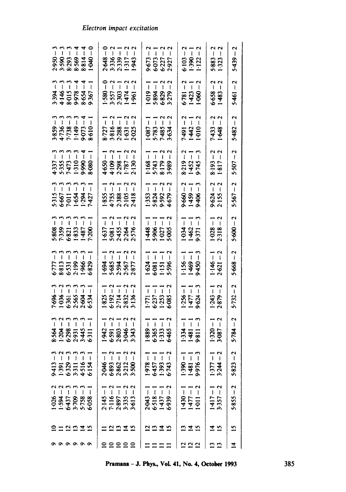| 2950<br>3.523<br>3.5369<br>3.8.8.9<br>4.8.9                                                 | 2:648<br>3:336<br>1:317<br>1:943                                                                                    | 9673<br>69737<br>6927                                                                                                                                                                                                                                                                                                                                                                                                                                                                                         | $\begin{array}{c} -2 \\ -1 \\ 1 \end{array}$<br>$\frac{6}{5}$<br>$\frac{98}{112}$ | - 2<br>- 1<br>5-883<br>1-323                 | $5-439-2$               |
|---------------------------------------------------------------------------------------------|---------------------------------------------------------------------------------------------------------------------|---------------------------------------------------------------------------------------------------------------------------------------------------------------------------------------------------------------------------------------------------------------------------------------------------------------------------------------------------------------------------------------------------------------------------------------------------------------------------------------------------------------|-----------------------------------------------------------------------------------|----------------------------------------------|-------------------------|
| 3394<br>81015<br>81018<br>9303<br>9305<br>9305                                              | $\begin{array}{c} 2 & -2 \\ -1 & 1 \end{array}$<br>$\frac{1580}{3557}$<br>$\frac{257}{1474}$<br>$\frac{1474}{1961}$ | $\mathbf{I}$<br><b>98882</b>                                                                                                                                                                                                                                                                                                                                                                                                                                                                                  | $6-781-2$<br>1-423 - 1<br>1-060 - 2                                               | $6.658 - 1.483$                              | $5-461-2$               |
| 9859<br>17738<br>17738<br>1993<br>1993                                                      | 8.727<br>3.888<br>3.288<br>1.631<br>2.025                                                                           | $\begin{array}{c} -1 & -2 \\ -1 & -1 \end{array}$<br><b>187834</b>                                                                                                                                                                                                                                                                                                                                                                                                                                            | $7.491$<br>$1.442$<br>$1.010$                                                     | 22<br>$7-433-7$                              | $5-482-2$               |
| $-1.337 -$<br>$-1.355 -$<br>$-1.355 -$<br>$-1.399 -$<br>$-1.399 -$<br>$-1.55$<br>$-1.337 -$ | $4.659$<br>$4.109$<br>$2.287$<br>$1.781$<br>$2.130$                                                                 | $\begin{array}{c} -1 & -2 \\ -1 & -1 \end{array}$<br>1.168<br>5.743<br>8.179 -                                                                                                                                                                                                                                                                                                                                                                                                                                | $8.219 - 2$<br>1.452 - 1<br>9.745 - 3                                             | $2 - 218.1$<br>$2 - 561.8$                   | $5 - 507 - 2$           |
| 5315<br>5667<br>584<br>58427                                                                | 1855<br>1755<br>1758<br>2418                                                                                        | $\begin{array}{c} -1 \\ -2 \end{array}$<br>1.333<br>5.822<br>4.679-                                                                                                                                                                                                                                                                                                                                                                                                                                           | $\begin{array}{c} -1 \\ -1 \\ -1 \end{array}$<br>$360$<br>$1459$<br>$1459$        | $-2$<br>$-2$<br>$9.624 - 2.155$              | $5.567 - 2$             |
| 388<br>7.359<br>8.821<br>8.339<br>7.200                                                     | 165<br>58438<br>52385                                                                                               | $\frac{1448 - 1}{5.906 - 1}$<br>1.027 - 1<br>5.005 - 2                                                                                                                                                                                                                                                                                                                                                                                                                                                        | $1-034 - 1$<br>$1-462 - 1$<br>$9-371 - 3$                                         | $1-928-1$<br>$2 \cdot 318-2$                 | $5 - 000 - 2$           |
| 11111<br>5-777<br>8-813<br>5-531<br>5-829<br>5-829                                          | $-111$<br>1.694<br>5.685<br>2.877<br>2.877                                                                          | $\mathbf{1}$<br>$\frac{38}{581}$                                                                                                                                                                                                                                                                                                                                                                                                                                                                              | $1.156 -$<br>1.469 -<br>1.450 -                                                   | $1.146 - 1$<br>$2.621 - 2$                   | $5.668 - 2$             |
| 11111<br>7.696<br>1.9361<br>5.565<br>5.534                                                  | $\begin{array}{c} 2 \\ 1 \\ 1 \end{array}$<br>1.825<br>5.192<br>2.832<br>3.136                                      | 7.7.7<br>1771<br>5337<br>55385                                                                                                                                                                                                                                                                                                                                                                                                                                                                                | $\overline{1}$<br>1.256<br>1.477<br>9.624                                         | $1.243 - 1$<br>$2.879 - 2$                   | $\overline{1}$<br>5.732 |
| 11111<br>33833511                                                                           | $25.50$<br>$25.50$<br>$25.50$                                                                                       | $\overline{1}$ $\overline{1}$<br>38838                                                                                                                                                                                                                                                                                                                                                                                                                                                                        | $\begin{array}{c} 1 \\ -1 \\ 0 \\ 1 \end{array}$<br>3381                          | $\frac{1}{1}$<br>1320<br>3087                | $\frac{1}{2}$<br>5.784  |
| ł<br>I<br>9413<br>$6:329 -$<br>4.516<br>6154<br>3.311<br>1.391                              | ี ผ<br>$-940-2$<br>ł<br>1<br>I<br>6893<br>2862.<br>3212.                                                            | ત્ર<br>$6457 - 1$<br>1.393 -<br>$-8.6 - 1$<br>ł<br>6.743                                                                                                                                                                                                                                                                                                                                                                                                                                                      | $1-181-1$<br>9.976 – 3<br>$-065$                                                  | $\mathbf{\hat{c}}$<br>$1 - 577 - 1$<br>: -44 | N<br>$5.823 -$          |
| 1<br>1.026<br>1.594<br>6.437<br>6.058<br>3.709<br>5.758                                     | $7.116 -$<br>I<br>2.897<br>3.335<br>3.613<br>2.145                                                                  | N<br>$\begin{array}{c} \end{array}$<br>$\mathsf I$<br>$\begin{array}{c} \rule{0pt}{2ex} \rule{0pt}{2ex} \rule{0pt}{2ex} \rule{0pt}{2ex} \rule{0pt}{2ex} \rule{0pt}{2ex} \rule{0pt}{2ex} \rule{0pt}{2ex} \rule{0pt}{2ex} \rule{0pt}{2ex} \rule{0pt}{2ex} \rule{0pt}{2ex} \rule{0pt}{2ex} \rule{0pt}{2ex} \rule{0pt}{2ex} \rule{0pt}{2ex} \rule{0pt}{2ex} \rule{0pt}{2ex} \rule{0pt}{2ex} \rule{0pt}{2ex} \rule{0pt}{2ex} \rule{0pt}{2ex} \rule{0pt}{2ex} \rule{0pt}{$<br>I<br>2.043<br>6.518<br>1.437<br>6.939 | $-0.64$<br>$\frac{1477}{-1011}$                                                   | 1.417<br>3.357                               | $5 - 855 - 2$           |
| $\Xi$ $\Xi$ $\Xi$<br>그                                                                      | 프<br>చ                                                                                                              | Σ<br>≌                                                                                                                                                                                                                                                                                                                                                                                                                                                                                                        | ₫<br>2                                                                            | ±<br>$\overline{2}$                          | $\mathbf{S}$            |
| $\circ \circ \circ$                                                                         | $\frac{1}{2}$<br>≘                                                                                                  |                                                                                                                                                                                                                                                                                                                                                                                                                                                                                                               |                                                                                   | ∽                                            | $\vec{r}$               |

### oct excita

amana – J. Phys., Vol. 41, No.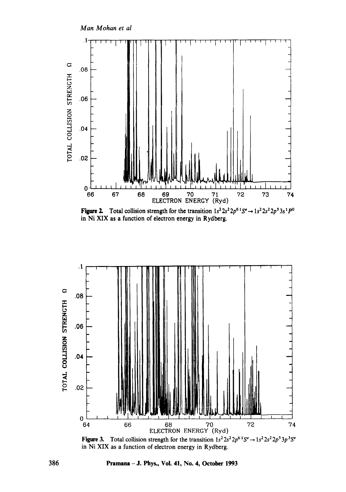

Figure 2. Total collision strength for the transition  $1s^2 2s^2 2p^6 1S^e \rightarrow 1s^2 2s^2 2p^5 3s^1 P^0$ in Ni XIX as a function of electron energy in Rydberg.



Figure 3. Total collision strength for the transition  $1s^2 2s^2 2p^6 1S^e \rightarrow 1s^2 2s^2 2p^5 3p^3 S^e$ in Ni XIX as a function of electron energy in Rydberg.

Pramana - J. Phys., Vol. 41, No. 4, October 1993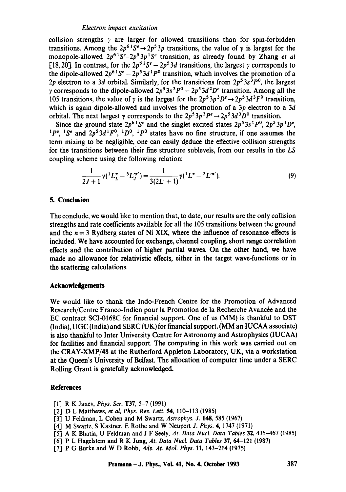collision strengths  $\gamma$  are larger for allowed transitions than for spin-forbidden transitions. Among the  $2p^{6}S^e \rightarrow 2p^53p$  transitions, the value of y is largest for the monopole-allowed  $2p^6 1S^e - 2p^5 3p^1 S^e$  transition, as already found by Zhang *et al* [18, 20]. In contrast, for the  $2p^{6.1}S^e-2p^53d$  transitions, the largest  $\gamma$  corresponds to the dipole-allowed  $2p^{6}S^{e}-2p^{5}3d^{1}P^{0}$  transition, which involves the promotion of a 2p electron to a 3d orbital. Similarly, for the transitions from  $2p^53s^3P^0$ , the largest y corresponds to the dipole-allowed  $2p^53s^3P^0 - 2p^53d^2D^e$  transition. Among all the 105 transitions, the value of  $\gamma$  is the largest for the  $2p^53p^3D^e \rightarrow 2p^53d^3F^0$  transition, which is again dipole-allowed and involves the promotion of a  $3p$  electron to a  $3d$ orbital. The next largest y corresponds to the  $2p^5 3p^3P^e \rightarrow 2p^5 3d^3D^0$  transition.

Since the ground state  $2p^{6}{}^{1}S^{e}$  and the singlet excited states  $2p^{5}{}^{3}S^{1}P^{0}$ ,  $2p^{5}{}^{3}p^{1}D^{e}$ ,  $^{1}P^{e}$ ,  $^{1}S^{e}$  and  $^{2}p^{5}3d^{1}F^{0}$ ,  $^{1}D^{0}$ ,  $^{1}P^{0}$  states have no fine structure, if one assumes the term mixing to be negligible, one can easily deduce the effective collision strengths for the transitions between their fine structure sublevels, from our results in the LS coupling scheme using the following relation:

$$
\frac{1}{2J+1}\gamma(\frac{1}{L} - \frac{3}{L}L''') = \frac{1}{3(2L'+1)}\gamma(\frac{1}{L''} - \frac{3}{L'''}).
$$
\n(9)

### **5. Conclusion**

The conclude, we would like to mention that, to date, our results are the only collision strengths and rate coefficients available for all the 105 transitions between the ground and the  $n = 3$  Rydberg states of Ni XIX, where the influence of resonance effects is included. We have accounted for exchange, channel coupling, short range correlation **effects** and the contribution of higher partial waves. On the other hand, we have made no allowance for relativistic effects, either in the target wave-functions or in the scattering calculations.

# **Acknowledgements**

We would like to thank the Indo-French Centre for the Promotion of Advanced Research/Centre Franco-Indien pour la Promotion de la Recherche Avancée and the EC contract SCI-0168C for financial support. One of us (MM) is thankful to DST (India), UGC (India) and SERC (UK) for financial support. (MM an IUCAA associate) is also thankful to Inter University Centre for Astronomy and Astrophysics (IUCAA) for facilities and financial support. The computing in this work was carried out on the CRAY-XMP/48 at the Rutherford Appleton Laboratory, UK, via a workstation at the Queen's University of Belfast. The allocation of computer time under a SERC Rolling Grant is gratefully acknowledged.

### **References**

- [1] R K Janev, *Phys. Scr.* T37, 5-7 (1991)
- [2] D L Matthews, *et al, Phys. Rev. Lett. 54,* 110-113 (1985)
- [3] U Feldman, L Cohen and M Swartz, Astrophys. J. 148, 585 (1967)
- [4] M Swartz, S Kastner, E Rothe and W Neupert *J. Phys.* 4, 1747 (1971)
- [5] A K Bhatia, U Feldman and J F Seely, *At. Data Nucl. Data Tables* 32, 435-467 (1985)
- [6] P L Hagelstein and R K Jung, *At. Data Nucl. Data Tables* 37, 64-121 (1987)
- [7] P G Burke and W D Robb, *Adv. At. Mol. Phys.* 11, 143-214 (1975)